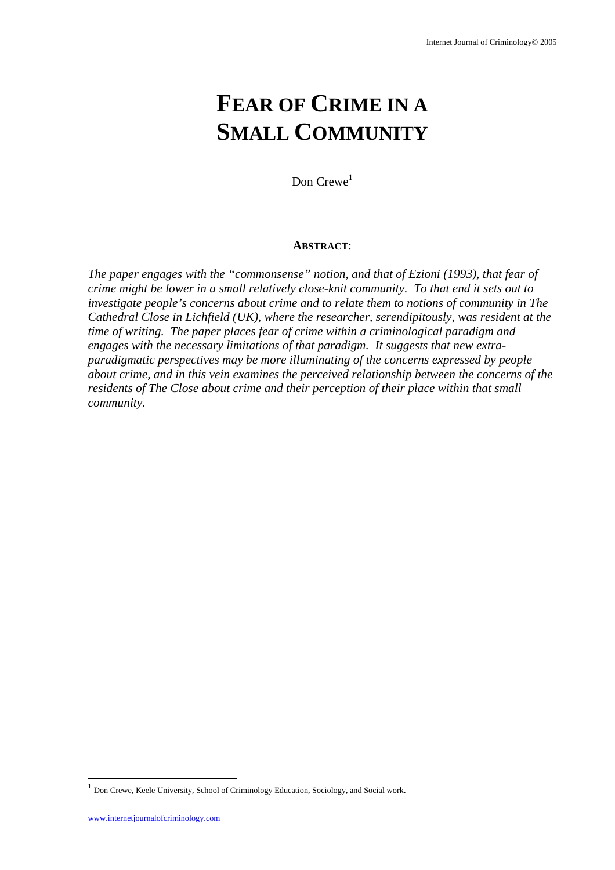# **FEAR OF CRIME IN A SMALL COMMUNITY**

Don  $C$ rewe<sup>1</sup>

#### **ABSTRACT**:

*The paper engages with the "commonsense" notion, and that of Ezioni (1993), that fear of crime might be lower in a small relatively close-knit community. To that end it sets out to investigate people's concerns about crime and to relate them to notions of community in The Cathedral Close in Lichfield (UK), where the researcher, serendipitously, was resident at the time of writing. The paper places fear of crime within a criminological paradigm and engages with the necessary limitations of that paradigm. It suggests that new extraparadigmatic perspectives may be more illuminating of the concerns expressed by people about crime, and in this vein examines the perceived relationship between the concerns of the residents of The Close about crime and their perception of their place within that small community.*

l

<sup>1</sup> Don Crewe, Keele University, School of Criminology Education, Sociology, and Social work.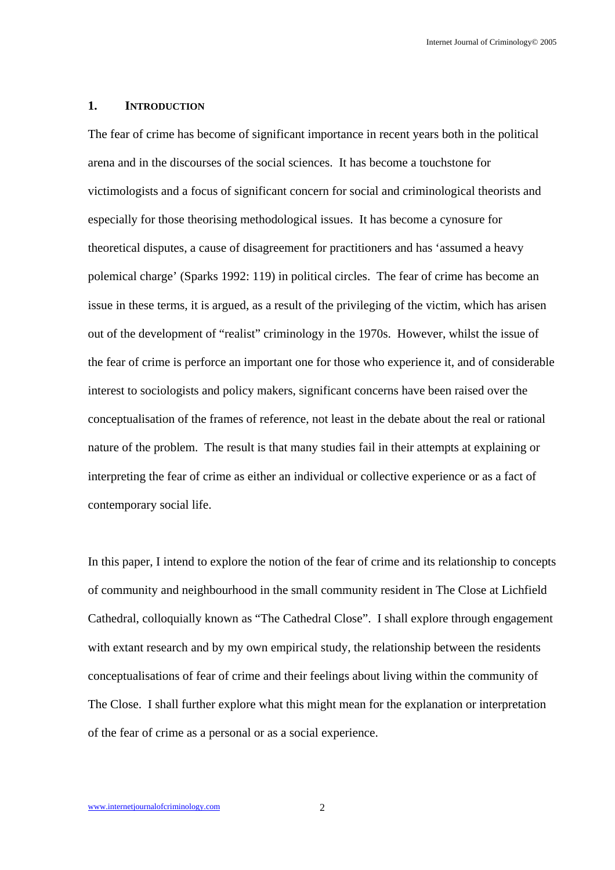#### **1. INTRODUCTION**

The fear of crime has become of significant importance in recent years both in the political arena and in the discourses of the social sciences. It has become a touchstone for victimologists and a focus of significant concern for social and criminological theorists and especially for those theorising methodological issues. It has become a cynosure for theoretical disputes, a cause of disagreement for practitioners and has 'assumed a heavy polemical charge' (Sparks 1992: 119) in political circles. The fear of crime has become an issue in these terms, it is argued, as a result of the privileging of the victim, which has arisen out of the development of "realist" criminology in the 1970s. However, whilst the issue of the fear of crime is perforce an important one for those who experience it, and of considerable interest to sociologists and policy makers, significant concerns have been raised over the conceptualisation of the frames of reference, not least in the debate about the real or rational nature of the problem. The result is that many studies fail in their attempts at explaining or interpreting the fear of crime as either an individual or collective experience or as a fact of contemporary social life.

In this paper, I intend to explore the notion of the fear of crime and its relationship to concepts of community and neighbourhood in the small community resident in The Close at Lichfield Cathedral, colloquially known as "The Cathedral Close". I shall explore through engagement with extant research and by my own empirical study, the relationship between the residents conceptualisations of fear of crime and their feelings about living within the community of The Close. I shall further explore what this might mean for the explanation or interpretation of the fear of crime as a personal or as a social experience.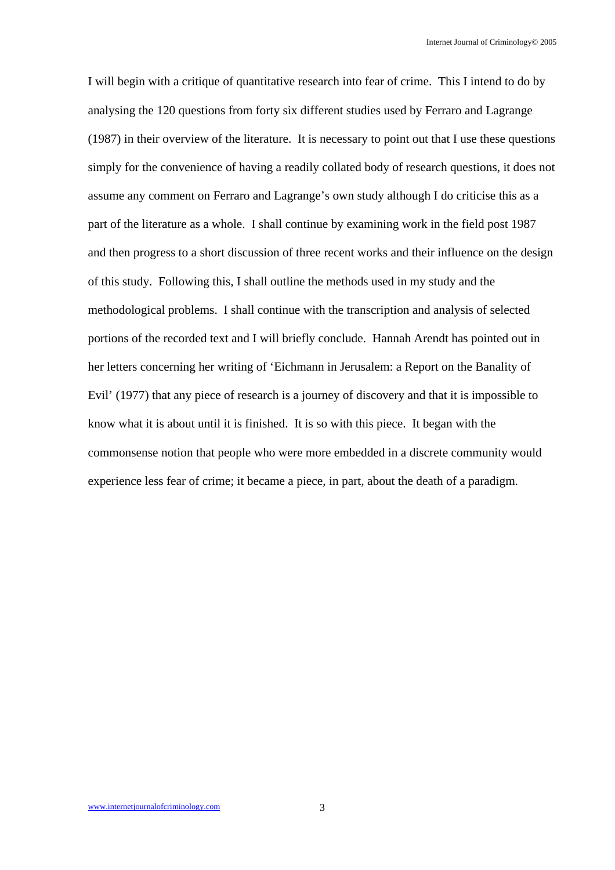I will begin with a critique of quantitative research into fear of crime. This I intend to do by analysing the 120 questions from forty six different studies used by Ferraro and Lagrange (1987) in their overview of the literature. It is necessary to point out that I use these questions simply for the convenience of having a readily collated body of research questions, it does not assume any comment on Ferraro and Lagrange's own study although I do criticise this as a part of the literature as a whole. I shall continue by examining work in the field post 1987 and then progress to a short discussion of three recent works and their influence on the design of this study. Following this, I shall outline the methods used in my study and the methodological problems. I shall continue with the transcription and analysis of selected portions of the recorded text and I will briefly conclude. Hannah Arendt has pointed out in her letters concerning her writing of 'Eichmann in Jerusalem: a Report on the Banality of Evil' (1977) that any piece of research is a journey of discovery and that it is impossible to know what it is about until it is finished. It is so with this piece. It began with the commonsense notion that people who were more embedded in a discrete community would experience less fear of crime; it became a piece, in part, about the death of a paradigm.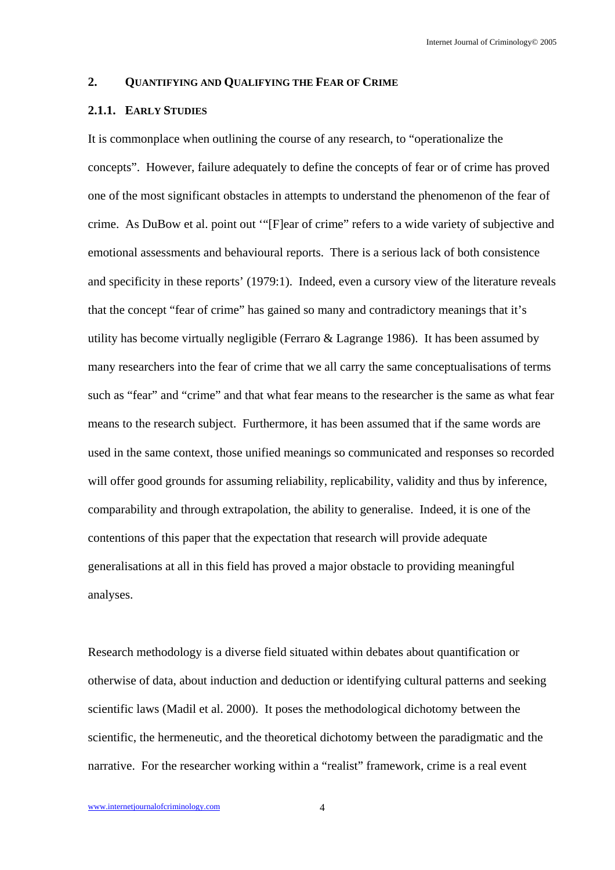#### **2. QUANTIFYING AND QUALIFYING THE FEAR OF CRIME**

## **2.1.1. EARLY STUDIES**

It is commonplace when outlining the course of any research, to "operationalize the concepts". However, failure adequately to define the concepts of fear or of crime has proved one of the most significant obstacles in attempts to understand the phenomenon of the fear of crime. As DuBow et al. point out '"[F]ear of crime" refers to a wide variety of subjective and emotional assessments and behavioural reports. There is a serious lack of both consistence and specificity in these reports' (1979:1). Indeed, even a cursory view of the literature reveals that the concept "fear of crime" has gained so many and contradictory meanings that it's utility has become virtually negligible (Ferraro & Lagrange 1986). It has been assumed by many researchers into the fear of crime that we all carry the same conceptualisations of terms such as "fear" and "crime" and that what fear means to the researcher is the same as what fear means to the research subject. Furthermore, it has been assumed that if the same words are used in the same context, those unified meanings so communicated and responses so recorded will offer good grounds for assuming reliability, replicability, validity and thus by inference, comparability and through extrapolation, the ability to generalise. Indeed, it is one of the contentions of this paper that the expectation that research will provide adequate generalisations at all in this field has proved a major obstacle to providing meaningful analyses.

Research methodology is a diverse field situated within debates about quantification or otherwise of data, about induction and deduction or identifying cultural patterns and seeking scientific laws (Madil et al. 2000). It poses the methodological dichotomy between the scientific, the hermeneutic, and the theoretical dichotomy between the paradigmatic and the narrative. For the researcher working within a "realist" framework, crime is a real event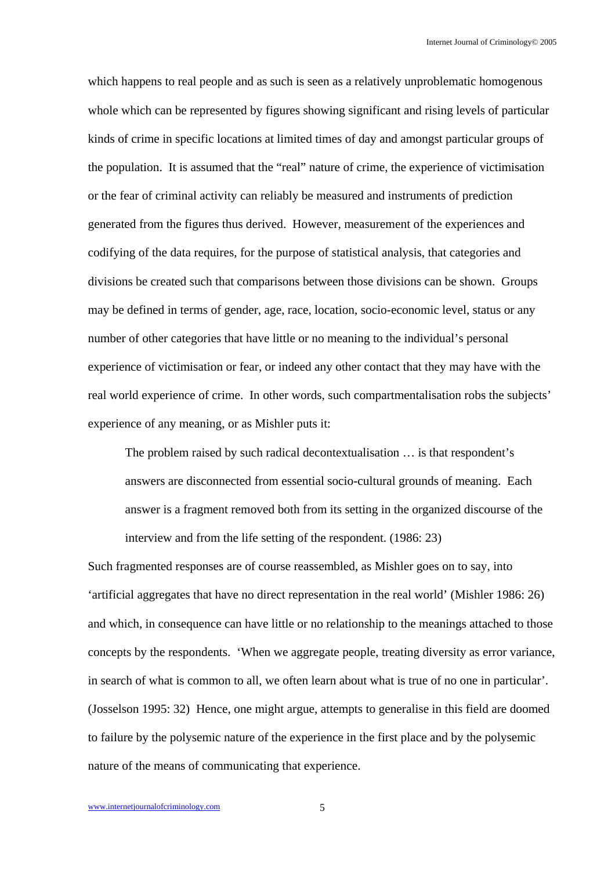which happens to real people and as such is seen as a relatively unproblematic homogenous whole which can be represented by figures showing significant and rising levels of particular kinds of crime in specific locations at limited times of day and amongst particular groups of the population. It is assumed that the "real" nature of crime, the experience of victimisation or the fear of criminal activity can reliably be measured and instruments of prediction generated from the figures thus derived. However, measurement of the experiences and codifying of the data requires, for the purpose of statistical analysis, that categories and divisions be created such that comparisons between those divisions can be shown. Groups may be defined in terms of gender, age, race, location, socio-economic level, status or any number of other categories that have little or no meaning to the individual's personal experience of victimisation or fear, or indeed any other contact that they may have with the real world experience of crime. In other words, such compartmentalisation robs the subjects' experience of any meaning, or as Mishler puts it:

The problem raised by such radical decontextualisation … is that respondent's answers are disconnected from essential socio-cultural grounds of meaning. Each answer is a fragment removed both from its setting in the organized discourse of the interview and from the life setting of the respondent. (1986: 23)

Such fragmented responses are of course reassembled, as Mishler goes on to say, into 'artificial aggregates that have no direct representation in the real world' (Mishler 1986: 26) and which, in consequence can have little or no relationship to the meanings attached to those concepts by the respondents. 'When we aggregate people, treating diversity as error variance, in search of what is common to all, we often learn about what is true of no one in particular'. (Josselson 1995: 32) Hence, one might argue, attempts to generalise in this field are doomed to failure by the polysemic nature of the experience in the first place and by the polysemic nature of the means of communicating that experience.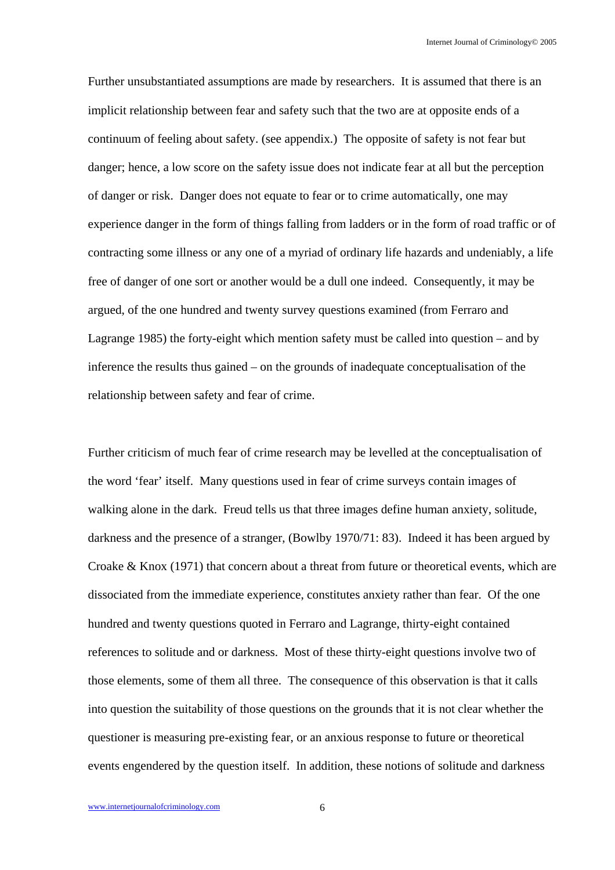Further unsubstantiated assumptions are made by researchers. It is assumed that there is an implicit relationship between fear and safety such that the two are at opposite ends of a continuum of feeling about safety. (see appendix.) The opposite of safety is not fear but danger; hence, a low score on the safety issue does not indicate fear at all but the perception of danger or risk. Danger does not equate to fear or to crime automatically, one may experience danger in the form of things falling from ladders or in the form of road traffic or of contracting some illness or any one of a myriad of ordinary life hazards and undeniably, a life free of danger of one sort or another would be a dull one indeed. Consequently, it may be argued, of the one hundred and twenty survey questions examined (from Ferraro and Lagrange 1985) the forty-eight which mention safety must be called into question – and by inference the results thus gained – on the grounds of inadequate conceptualisation of the relationship between safety and fear of crime.

Further criticism of much fear of crime research may be levelled at the conceptualisation of the word 'fear' itself. Many questions used in fear of crime surveys contain images of walking alone in the dark. Freud tells us that three images define human anxiety, solitude, darkness and the presence of a stranger, (Bowlby 1970/71: 83). Indeed it has been argued by Croake & Knox (1971) that concern about a threat from future or theoretical events, which are dissociated from the immediate experience, constitutes anxiety rather than fear. Of the one hundred and twenty questions quoted in Ferraro and Lagrange, thirty-eight contained references to solitude and or darkness. Most of these thirty-eight questions involve two of those elements, some of them all three. The consequence of this observation is that it calls into question the suitability of those questions on the grounds that it is not clear whether the questioner is measuring pre-existing fear, or an anxious response to future or theoretical events engendered by the question itself. In addition, these notions of solitude and darkness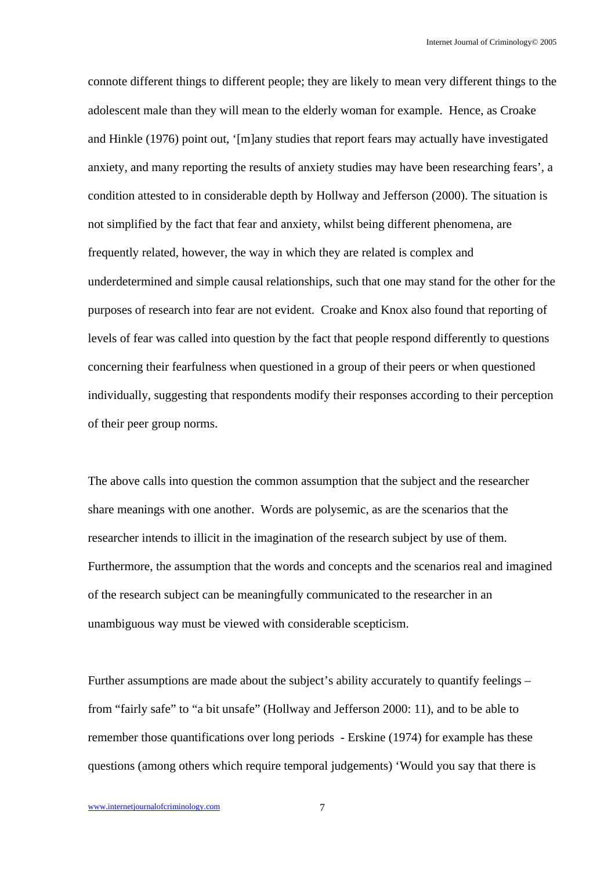connote different things to different people; they are likely to mean very different things to the adolescent male than they will mean to the elderly woman for example. Hence, as Croake and Hinkle (1976) point out, '[m]any studies that report fears may actually have investigated anxiety, and many reporting the results of anxiety studies may have been researching fears', a condition attested to in considerable depth by Hollway and Jefferson (2000). The situation is not simplified by the fact that fear and anxiety, whilst being different phenomena, are frequently related, however, the way in which they are related is complex and underdetermined and simple causal relationships, such that one may stand for the other for the purposes of research into fear are not evident. Croake and Knox also found that reporting of levels of fear was called into question by the fact that people respond differently to questions concerning their fearfulness when questioned in a group of their peers or when questioned individually, suggesting that respondents modify their responses according to their perception of their peer group norms.

The above calls into question the common assumption that the subject and the researcher share meanings with one another. Words are polysemic, as are the scenarios that the researcher intends to illicit in the imagination of the research subject by use of them. Furthermore, the assumption that the words and concepts and the scenarios real and imagined of the research subject can be meaningfully communicated to the researcher in an unambiguous way must be viewed with considerable scepticism.

Further assumptions are made about the subject's ability accurately to quantify feelings – from "fairly safe" to "a bit unsafe" (Hollway and Jefferson 2000: 11), and to be able to remember those quantifications over long periods - Erskine (1974) for example has these questions (among others which require temporal judgements) 'Would you say that there is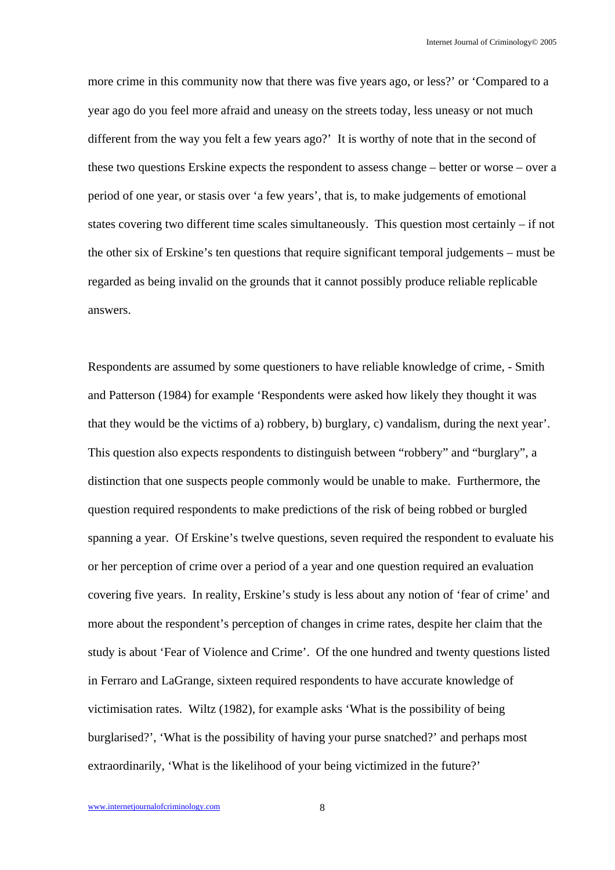more crime in this community now that there was five years ago, or less?' or 'Compared to a year ago do you feel more afraid and uneasy on the streets today, less uneasy or not much different from the way you felt a few years ago?' It is worthy of note that in the second of these two questions Erskine expects the respondent to assess change – better or worse – over a period of one year, or stasis over 'a few years', that is, to make judgements of emotional states covering two different time scales simultaneously. This question most certainly – if not the other six of Erskine's ten questions that require significant temporal judgements – must be regarded as being invalid on the grounds that it cannot possibly produce reliable replicable answers.

Respondents are assumed by some questioners to have reliable knowledge of crime, - Smith and Patterson (1984) for example 'Respondents were asked how likely they thought it was that they would be the victims of a) robbery, b) burglary, c) vandalism, during the next year'. This question also expects respondents to distinguish between "robbery" and "burglary", a distinction that one suspects people commonly would be unable to make. Furthermore, the question required respondents to make predictions of the risk of being robbed or burgled spanning a year. Of Erskine's twelve questions, seven required the respondent to evaluate his or her perception of crime over a period of a year and one question required an evaluation covering five years. In reality, Erskine's study is less about any notion of 'fear of crime' and more about the respondent's perception of changes in crime rates, despite her claim that the study is about 'Fear of Violence and Crime'. Of the one hundred and twenty questions listed in Ferraro and LaGrange, sixteen required respondents to have accurate knowledge of victimisation rates. Wiltz (1982), for example asks 'What is the possibility of being burglarised?', 'What is the possibility of having your purse snatched?' and perhaps most extraordinarily, 'What is the likelihood of your being victimized in the future?'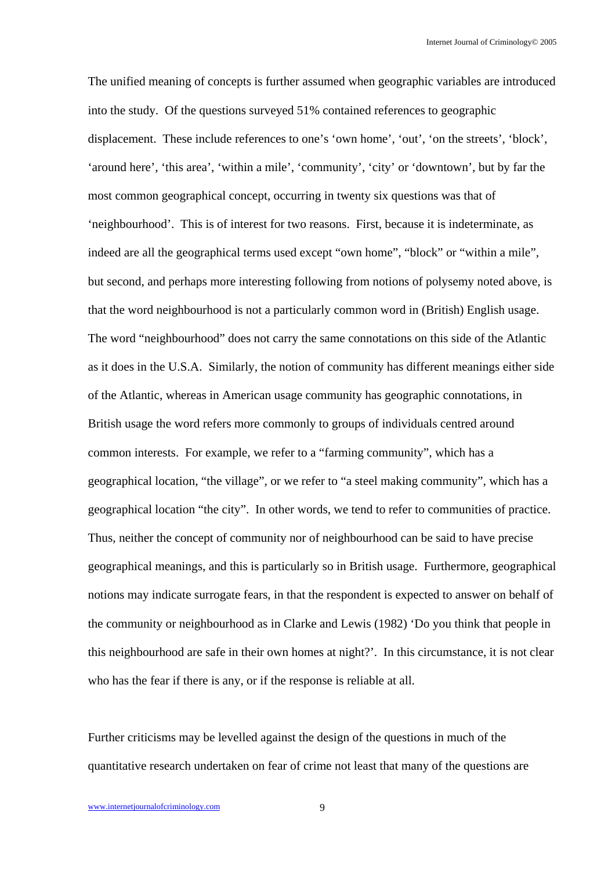The unified meaning of concepts is further assumed when geographic variables are introduced into the study. Of the questions surveyed 51% contained references to geographic displacement. These include references to one's 'own home', 'out', 'on the streets', 'block', 'around here', 'this area', 'within a mile', 'community', 'city' or 'downtown', but by far the most common geographical concept, occurring in twenty six questions was that of 'neighbourhood'. This is of interest for two reasons. First, because it is indeterminate, as indeed are all the geographical terms used except "own home", "block" or "within a mile", but second, and perhaps more interesting following from notions of polysemy noted above, is that the word neighbourhood is not a particularly common word in (British) English usage. The word "neighbourhood" does not carry the same connotations on this side of the Atlantic as it does in the U.S.A. Similarly, the notion of community has different meanings either side of the Atlantic, whereas in American usage community has geographic connotations, in British usage the word refers more commonly to groups of individuals centred around common interests. For example, we refer to a "farming community", which has a geographical location, "the village", or we refer to "a steel making community", which has a geographical location "the city". In other words, we tend to refer to communities of practice. Thus, neither the concept of community nor of neighbourhood can be said to have precise geographical meanings, and this is particularly so in British usage. Furthermore, geographical notions may indicate surrogate fears, in that the respondent is expected to answer on behalf of the community or neighbourhood as in Clarke and Lewis (1982) 'Do you think that people in this neighbourhood are safe in their own homes at night?'. In this circumstance, it is not clear who has the fear if there is any, or if the response is reliable at all.

Further criticisms may be levelled against the design of the questions in much of the quantitative research undertaken on fear of crime not least that many of the questions are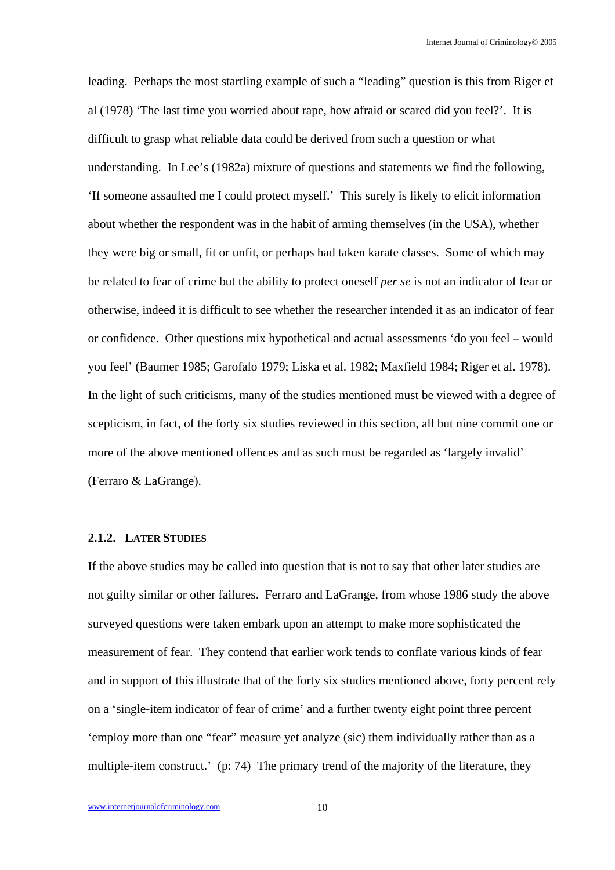leading. Perhaps the most startling example of such a "leading" question is this from Riger et al (1978) 'The last time you worried about rape, how afraid or scared did you feel?'. It is difficult to grasp what reliable data could be derived from such a question or what understanding. In Lee's (1982a) mixture of questions and statements we find the following, 'If someone assaulted me I could protect myself.' This surely is likely to elicit information about whether the respondent was in the habit of arming themselves (in the USA), whether they were big or small, fit or unfit, or perhaps had taken karate classes. Some of which may be related to fear of crime but the ability to protect oneself *per se* is not an indicator of fear or otherwise, indeed it is difficult to see whether the researcher intended it as an indicator of fear or confidence. Other questions mix hypothetical and actual assessments 'do you feel – would you feel' (Baumer 1985; Garofalo 1979; Liska et al. 1982; Maxfield 1984; Riger et al. 1978). In the light of such criticisms, many of the studies mentioned must be viewed with a degree of scepticism, in fact, of the forty six studies reviewed in this section, all but nine commit one or more of the above mentioned offences and as such must be regarded as 'largely invalid' (Ferraro & LaGrange).

## **2.1.2. LATER STUDIES**

If the above studies may be called into question that is not to say that other later studies are not guilty similar or other failures. Ferraro and LaGrange, from whose 1986 study the above surveyed questions were taken embark upon an attempt to make more sophisticated the measurement of fear. They contend that earlier work tends to conflate various kinds of fear and in support of this illustrate that of the forty six studies mentioned above, forty percent rely on a 'single-item indicator of fear of crime' and a further twenty eight point three percent 'employ more than one "fear" measure yet analyze (sic) them individually rather than as a multiple-item construct.' (p: 74) The primary trend of the majority of the literature, they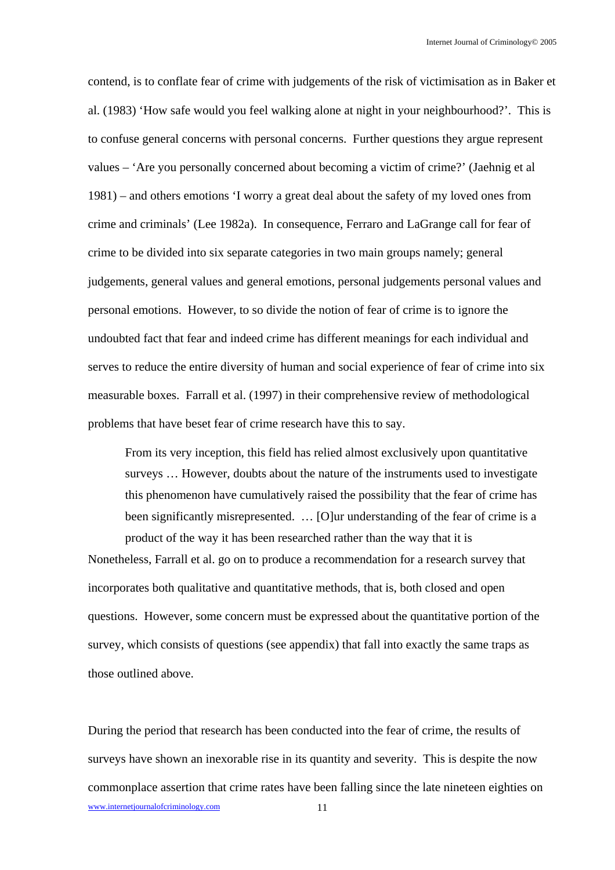contend, is to conflate fear of crime with judgements of the risk of victimisation as in Baker et al. (1983) 'How safe would you feel walking alone at night in your neighbourhood?'. This is to confuse general concerns with personal concerns. Further questions they argue represent values – 'Are you personally concerned about becoming a victim of crime?' (Jaehnig et al 1981) – and others emotions 'I worry a great deal about the safety of my loved ones from crime and criminals' (Lee 1982a). In consequence, Ferraro and LaGrange call for fear of crime to be divided into six separate categories in two main groups namely; general judgements, general values and general emotions, personal judgements personal values and personal emotions. However, to so divide the notion of fear of crime is to ignore the undoubted fact that fear and indeed crime has different meanings for each individual and serves to reduce the entire diversity of human and social experience of fear of crime into six measurable boxes. Farrall et al. (1997) in their comprehensive review of methodological problems that have beset fear of crime research have this to say.

From its very inception, this field has relied almost exclusively upon quantitative surveys … However, doubts about the nature of the instruments used to investigate this phenomenon have cumulatively raised the possibility that the fear of crime has been significantly misrepresented. … [O]ur understanding of the fear of crime is a product of the way it has been researched rather than the way that it is

Nonetheless, Farrall et al. go on to produce a recommendation for a research survey that incorporates both qualitative and quantitative methods, that is, both closed and open questions. However, some concern must be expressed about the quantitative portion of the survey, which consists of questions (see appendix) that fall into exactly the same traps as those outlined above.

www.internetjournalofcriminology.com 11 During the period that research has been conducted into the fear of crime, the results of surveys have shown an inexorable rise in its quantity and severity. This is despite the now commonplace assertion that crime rates have been falling since the late nineteen eighties on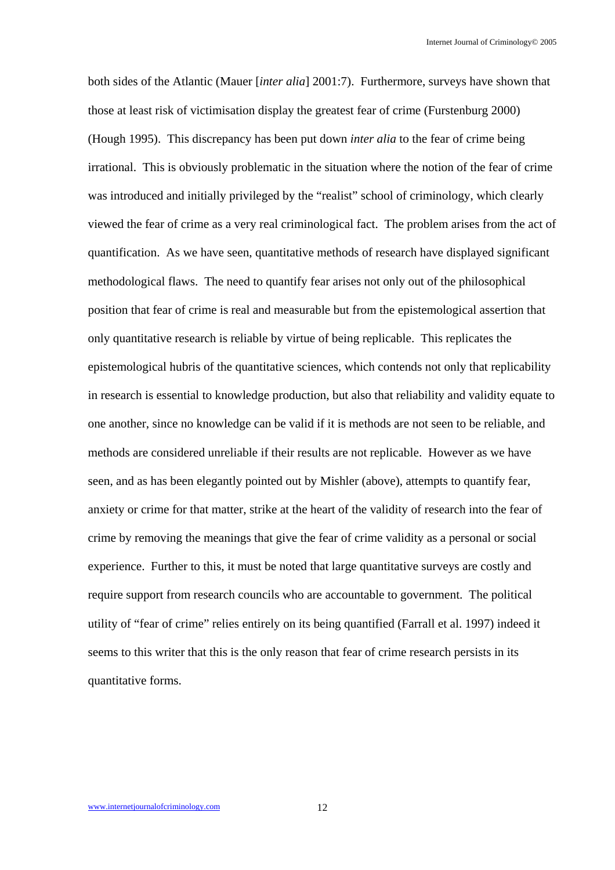both sides of the Atlantic (Mauer [*inter alia*] 2001:7). Furthermore, surveys have shown that those at least risk of victimisation display the greatest fear of crime (Furstenburg 2000) (Hough 1995). This discrepancy has been put down *inter alia* to the fear of crime being irrational. This is obviously problematic in the situation where the notion of the fear of crime was introduced and initially privileged by the "realist" school of criminology, which clearly viewed the fear of crime as a very real criminological fact. The problem arises from the act of quantification. As we have seen, quantitative methods of research have displayed significant methodological flaws. The need to quantify fear arises not only out of the philosophical position that fear of crime is real and measurable but from the epistemological assertion that only quantitative research is reliable by virtue of being replicable. This replicates the epistemological hubris of the quantitative sciences, which contends not only that replicability in research is essential to knowledge production, but also that reliability and validity equate to one another, since no knowledge can be valid if it is methods are not seen to be reliable, and methods are considered unreliable if their results are not replicable. However as we have seen, and as has been elegantly pointed out by Mishler (above), attempts to quantify fear, anxiety or crime for that matter, strike at the heart of the validity of research into the fear of crime by removing the meanings that give the fear of crime validity as a personal or social experience. Further to this, it must be noted that large quantitative surveys are costly and require support from research councils who are accountable to government. The political utility of "fear of crime" relies entirely on its being quantified (Farrall et al. 1997) indeed it seems to this writer that this is the only reason that fear of crime research persists in its quantitative forms.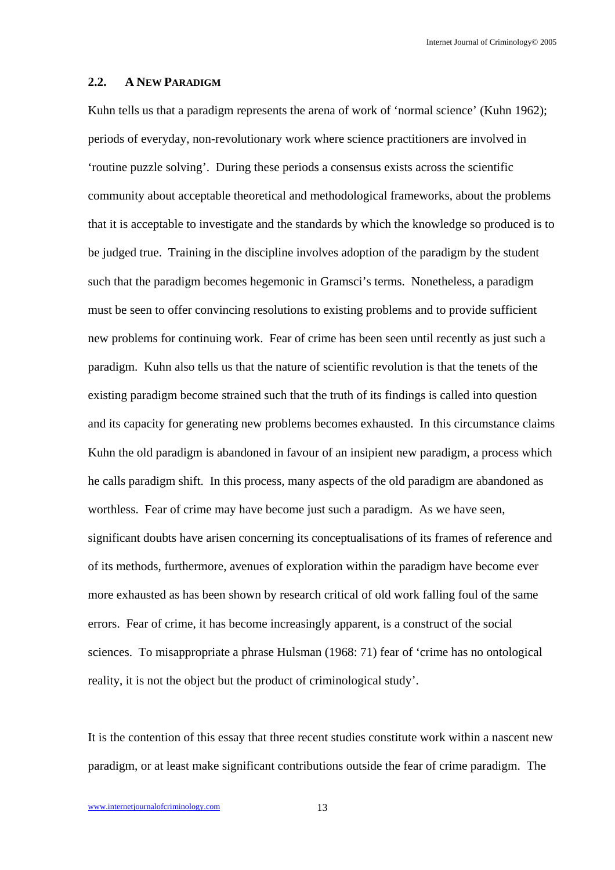#### **2.2. A NEW PARADIGM**

Kuhn tells us that a paradigm represents the arena of work of 'normal science' (Kuhn 1962); periods of everyday, non-revolutionary work where science practitioners are involved in 'routine puzzle solving'. During these periods a consensus exists across the scientific community about acceptable theoretical and methodological frameworks, about the problems that it is acceptable to investigate and the standards by which the knowledge so produced is to be judged true. Training in the discipline involves adoption of the paradigm by the student such that the paradigm becomes hegemonic in Gramsci's terms. Nonetheless, a paradigm must be seen to offer convincing resolutions to existing problems and to provide sufficient new problems for continuing work. Fear of crime has been seen until recently as just such a paradigm. Kuhn also tells us that the nature of scientific revolution is that the tenets of the existing paradigm become strained such that the truth of its findings is called into question and its capacity for generating new problems becomes exhausted. In this circumstance claims Kuhn the old paradigm is abandoned in favour of an insipient new paradigm, a process which he calls paradigm shift. In this process, many aspects of the old paradigm are abandoned as worthless. Fear of crime may have become just such a paradigm. As we have seen, significant doubts have arisen concerning its conceptualisations of its frames of reference and of its methods, furthermore, avenues of exploration within the paradigm have become ever more exhausted as has been shown by research critical of old work falling foul of the same errors. Fear of crime, it has become increasingly apparent, is a construct of the social sciences. To misappropriate a phrase Hulsman (1968: 71) fear of 'crime has no ontological reality, it is not the object but the product of criminological study'.

It is the contention of this essay that three recent studies constitute work within a nascent new paradigm, or at least make significant contributions outside the fear of crime paradigm. The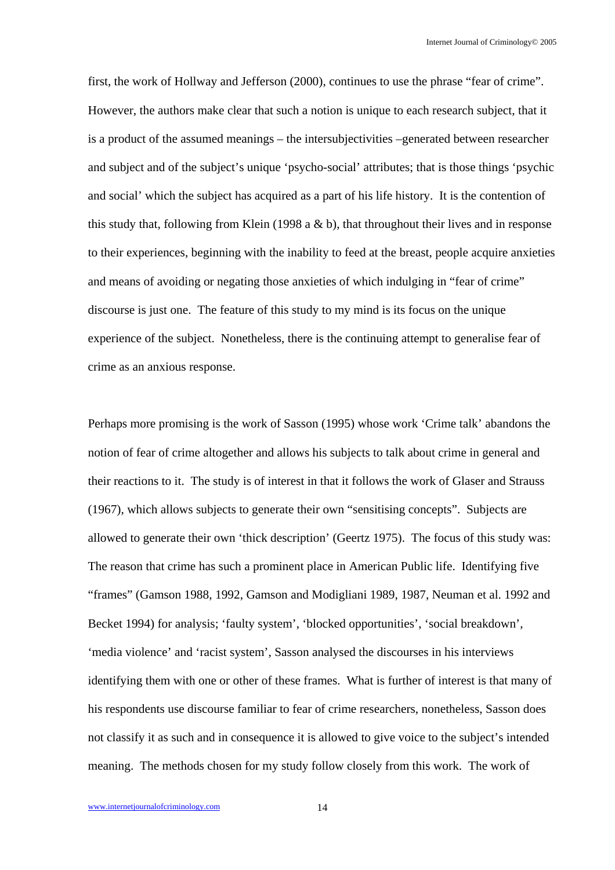first, the work of Hollway and Jefferson (2000), continues to use the phrase "fear of crime". However, the authors make clear that such a notion is unique to each research subject, that it is a product of the assumed meanings – the intersubjectivities –generated between researcher and subject and of the subject's unique 'psycho-social' attributes; that is those things 'psychic and social' which the subject has acquired as a part of his life history. It is the contention of this study that, following from Klein (1998 a  $&$  b), that throughout their lives and in response to their experiences, beginning with the inability to feed at the breast, people acquire anxieties and means of avoiding or negating those anxieties of which indulging in "fear of crime" discourse is just one. The feature of this study to my mind is its focus on the unique experience of the subject. Nonetheless, there is the continuing attempt to generalise fear of crime as an anxious response.

Perhaps more promising is the work of Sasson (1995) whose work 'Crime talk' abandons the notion of fear of crime altogether and allows his subjects to talk about crime in general and their reactions to it. The study is of interest in that it follows the work of Glaser and Strauss (1967), which allows subjects to generate their own "sensitising concepts". Subjects are allowed to generate their own 'thick description' (Geertz 1975). The focus of this study was: The reason that crime has such a prominent place in American Public life. Identifying five "frames" (Gamson 1988, 1992, Gamson and Modigliani 1989, 1987, Neuman et al. 1992 and Becket 1994) for analysis; 'faulty system', 'blocked opportunities', 'social breakdown', 'media violence' and 'racist system', Sasson analysed the discourses in his interviews identifying them with one or other of these frames. What is further of interest is that many of his respondents use discourse familiar to fear of crime researchers, nonetheless, Sasson does not classify it as such and in consequence it is allowed to give voice to the subject's intended meaning. The methods chosen for my study follow closely from this work. The work of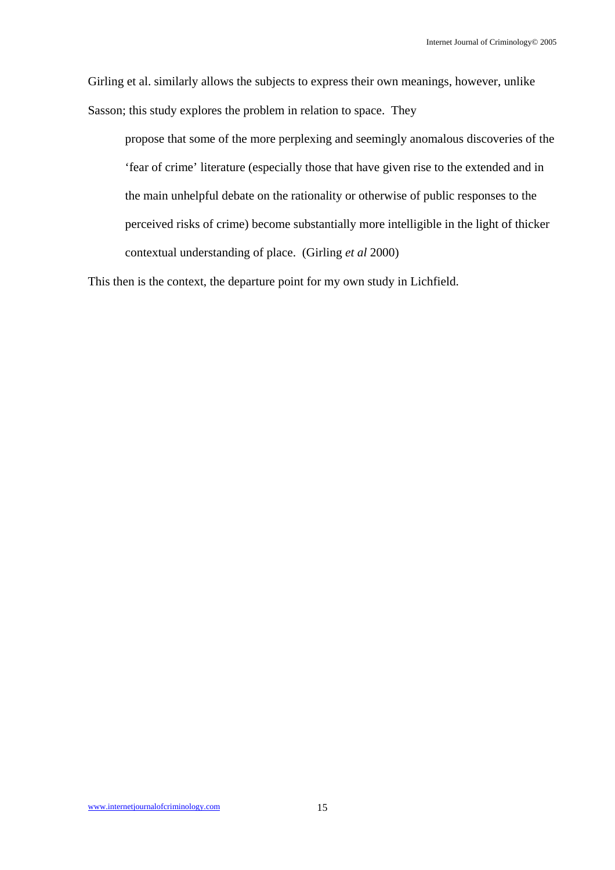Girling et al. similarly allows the subjects to express their own meanings, however, unlike Sasson; this study explores the problem in relation to space. They

propose that some of the more perplexing and seemingly anomalous discoveries of the 'fear of crime' literature (especially those that have given rise to the extended and in the main unhelpful debate on the rationality or otherwise of public responses to the perceived risks of crime) become substantially more intelligible in the light of thicker contextual understanding of place. (Girling *et al* 2000)

This then is the context, the departure point for my own study in Lichfield.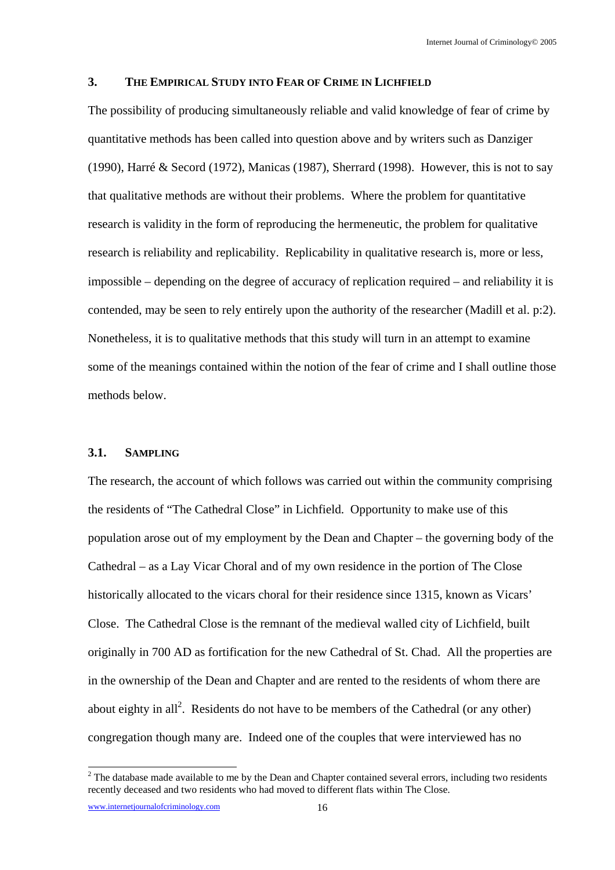#### **3. THE EMPIRICAL STUDY INTO FEAR OF CRIME IN LICHFIELD**

The possibility of producing simultaneously reliable and valid knowledge of fear of crime by quantitative methods has been called into question above and by writers such as Danziger (1990), Harré & Secord (1972), Manicas (1987), Sherrard (1998). However, this is not to say that qualitative methods are without their problems. Where the problem for quantitative research is validity in the form of reproducing the hermeneutic, the problem for qualitative research is reliability and replicability. Replicability in qualitative research is, more or less, impossible – depending on the degree of accuracy of replication required – and reliability it is contended, may be seen to rely entirely upon the authority of the researcher (Madill et al. p:2). Nonetheless, it is to qualitative methods that this study will turn in an attempt to examine some of the meanings contained within the notion of the fear of crime and I shall outline those methods below.

## **3.1. SAMPLING**

The research, the account of which follows was carried out within the community comprising the residents of "The Cathedral Close" in Lichfield. Opportunity to make use of this population arose out of my employment by the Dean and Chapter – the governing body of the Cathedral – as a Lay Vicar Choral and of my own residence in the portion of The Close historically allocated to the vicars choral for their residence since 1315, known as Vicars' Close. The Cathedral Close is the remnant of the medieval walled city of Lichfield, built originally in 700 AD as fortification for the new Cathedral of St. Chad. All the properties are in the ownership of the Dean and Chapter and are rented to the residents of whom there are about eighty in all<sup>2</sup>. Residents do not have to be members of the Cathedral (or any other) congregation though many are. Indeed one of the couples that were interviewed has no

<sup>&</sup>lt;sup>2</sup> The database made available to me by the Dean and Chapter contained several errors, including two residents recently deceased and two residents who had moved to different flats within The Close.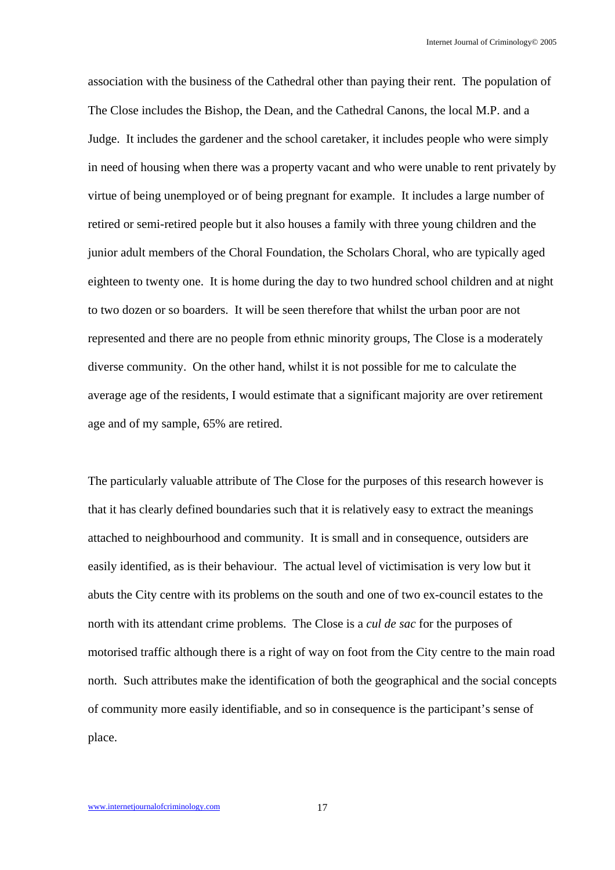association with the business of the Cathedral other than paying their rent. The population of The Close includes the Bishop, the Dean, and the Cathedral Canons, the local M.P. and a Judge. It includes the gardener and the school caretaker, it includes people who were simply in need of housing when there was a property vacant and who were unable to rent privately by virtue of being unemployed or of being pregnant for example. It includes a large number of retired or semi-retired people but it also houses a family with three young children and the junior adult members of the Choral Foundation, the Scholars Choral, who are typically aged eighteen to twenty one. It is home during the day to two hundred school children and at night to two dozen or so boarders. It will be seen therefore that whilst the urban poor are not represented and there are no people from ethnic minority groups, The Close is a moderately diverse community. On the other hand, whilst it is not possible for me to calculate the average age of the residents, I would estimate that a significant majority are over retirement age and of my sample, 65% are retired.

The particularly valuable attribute of The Close for the purposes of this research however is that it has clearly defined boundaries such that it is relatively easy to extract the meanings attached to neighbourhood and community. It is small and in consequence, outsiders are easily identified, as is their behaviour. The actual level of victimisation is very low but it abuts the City centre with its problems on the south and one of two ex-council estates to the north with its attendant crime problems. The Close is a *cul de sac* for the purposes of motorised traffic although there is a right of way on foot from the City centre to the main road north. Such attributes make the identification of both the geographical and the social concepts of community more easily identifiable, and so in consequence is the participant's sense of place.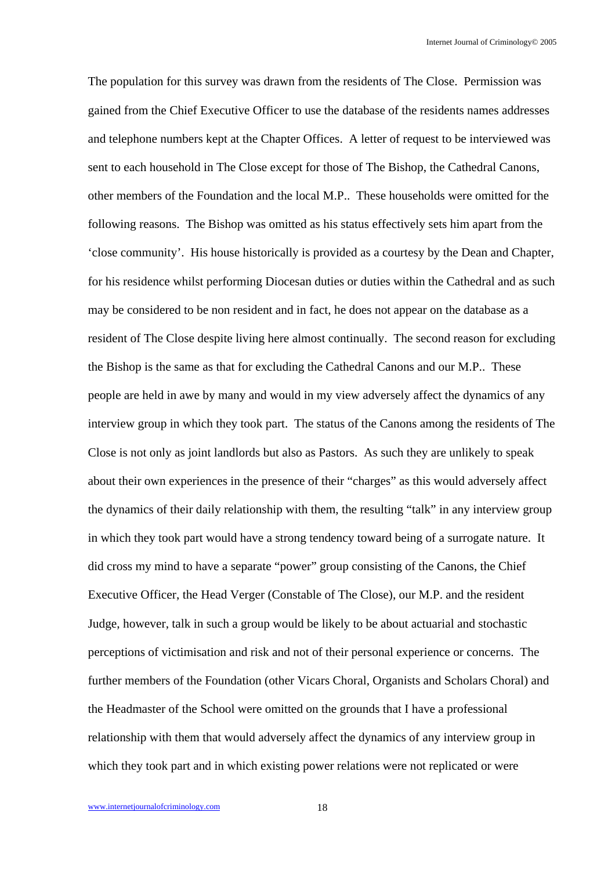The population for this survey was drawn from the residents of The Close. Permission was gained from the Chief Executive Officer to use the database of the residents names addresses and telephone numbers kept at the Chapter Offices. A letter of request to be interviewed was sent to each household in The Close except for those of The Bishop, the Cathedral Canons, other members of the Foundation and the local M.P.. These households were omitted for the following reasons. The Bishop was omitted as his status effectively sets him apart from the 'close community'. His house historically is provided as a courtesy by the Dean and Chapter, for his residence whilst performing Diocesan duties or duties within the Cathedral and as such may be considered to be non resident and in fact, he does not appear on the database as a resident of The Close despite living here almost continually. The second reason for excluding the Bishop is the same as that for excluding the Cathedral Canons and our M.P.. These people are held in awe by many and would in my view adversely affect the dynamics of any interview group in which they took part. The status of the Canons among the residents of The Close is not only as joint landlords but also as Pastors. As such they are unlikely to speak about their own experiences in the presence of their "charges" as this would adversely affect the dynamics of their daily relationship with them, the resulting "talk" in any interview group in which they took part would have a strong tendency toward being of a surrogate nature. It did cross my mind to have a separate "power" group consisting of the Canons, the Chief Executive Officer, the Head Verger (Constable of The Close), our M.P. and the resident Judge, however, talk in such a group would be likely to be about actuarial and stochastic perceptions of victimisation and risk and not of their personal experience or concerns. The further members of the Foundation (other Vicars Choral, Organists and Scholars Choral) and the Headmaster of the School were omitted on the grounds that I have a professional relationship with them that would adversely affect the dynamics of any interview group in which they took part and in which existing power relations were not replicated or were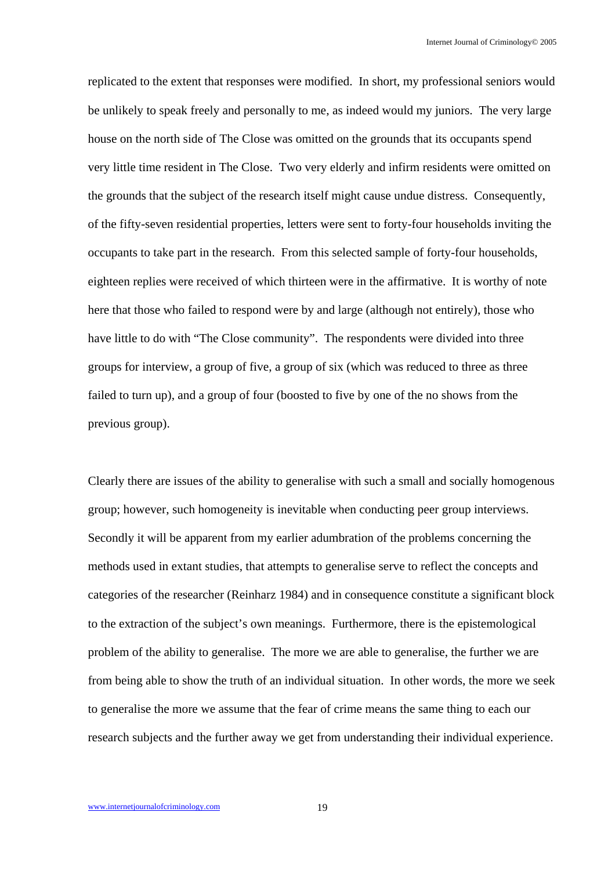replicated to the extent that responses were modified. In short, my professional seniors would be unlikely to speak freely and personally to me, as indeed would my juniors. The very large house on the north side of The Close was omitted on the grounds that its occupants spend very little time resident in The Close. Two very elderly and infirm residents were omitted on the grounds that the subject of the research itself might cause undue distress. Consequently, of the fifty-seven residential properties, letters were sent to forty-four households inviting the occupants to take part in the research. From this selected sample of forty-four households, eighteen replies were received of which thirteen were in the affirmative. It is worthy of note here that those who failed to respond were by and large (although not entirely), those who have little to do with "The Close community". The respondents were divided into three groups for interview, a group of five, a group of six (which was reduced to three as three failed to turn up), and a group of four (boosted to five by one of the no shows from the previous group).

Clearly there are issues of the ability to generalise with such a small and socially homogenous group; however, such homogeneity is inevitable when conducting peer group interviews. Secondly it will be apparent from my earlier adumbration of the problems concerning the methods used in extant studies, that attempts to generalise serve to reflect the concepts and categories of the researcher (Reinharz 1984) and in consequence constitute a significant block to the extraction of the subject's own meanings. Furthermore, there is the epistemological problem of the ability to generalise. The more we are able to generalise, the further we are from being able to show the truth of an individual situation. In other words, the more we seek to generalise the more we assume that the fear of crime means the same thing to each our research subjects and the further away we get from understanding their individual experience.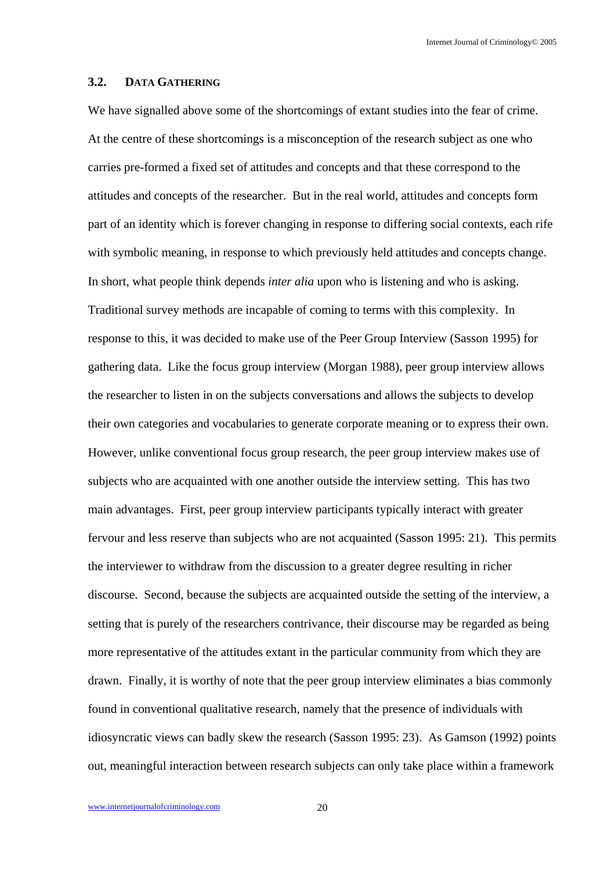#### **3.2. DATA GATHERING**

We have signalled above some of the shortcomings of extant studies into the fear of crime. At the centre of these shortcomings is a misconception of the research subject as one who carries pre-formed a fixed set of attitudes and concepts and that these correspond to the attitudes and concepts of the researcher. But in the real world, attitudes and concepts form part of an identity which is forever changing in response to differing social contexts, each rife with symbolic meaning, in response to which previously held attitudes and concepts change. In short, what people think depends *inter alia* upon who is listening and who is asking. Traditional survey methods are incapable of coming to terms with this complexity. In response to this, it was decided to make use of the Peer Group Interview (Sasson 1995) for gathering data. Like the focus group interview (Morgan 1988), peer group interview allows the researcher to listen in on the subjects conversations and allows the subjects to develop their own categories and vocabularies to generate corporate meaning or to express their own. However, unlike conventional focus group research, the peer group interview makes use of subjects who are acquainted with one another outside the interview setting. This has two main advantages. First, peer group interview participants typically interact with greater fervour and less reserve than subjects who are not acquainted (Sasson 1995: 21). This permits the interviewer to withdraw from the discussion to a greater degree resulting in richer discourse. Second, because the subjects are acquainted outside the setting of the interview, a setting that is purely of the researchers contrivance, their discourse may be regarded as being more representative of the attitudes extant in the particular community from which they are drawn. Finally, it is worthy of note that the peer group interview eliminates a bias commonly found in conventional qualitative research, namely that the presence of individuals with idiosyncratic views can badly skew the research (Sasson 1995: 23). As Gamson (1992) points out, meaningful interaction between research subjects can only take place within a framework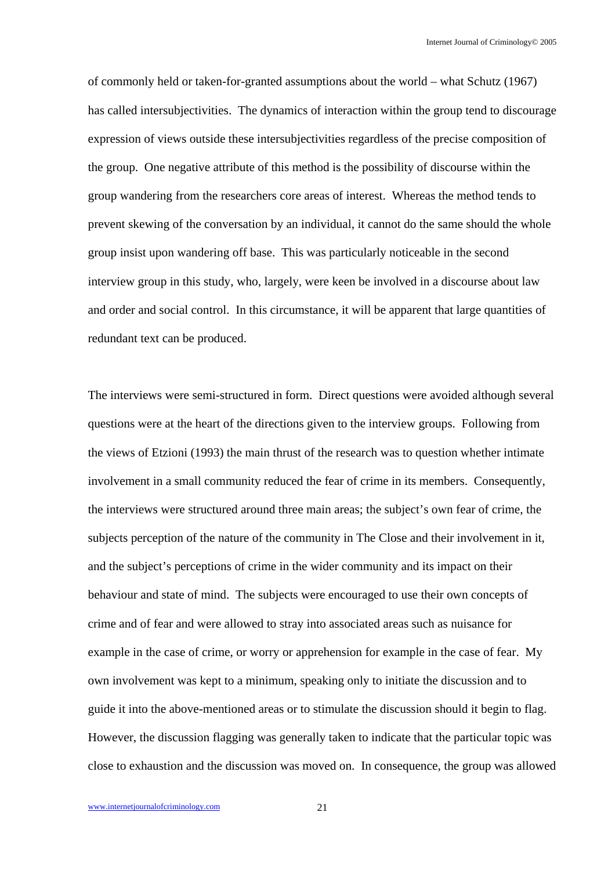of commonly held or taken-for-granted assumptions about the world – what Schutz (1967) has called intersubjectivities. The dynamics of interaction within the group tend to discourage expression of views outside these intersubjectivities regardless of the precise composition of the group. One negative attribute of this method is the possibility of discourse within the group wandering from the researchers core areas of interest. Whereas the method tends to prevent skewing of the conversation by an individual, it cannot do the same should the whole group insist upon wandering off base. This was particularly noticeable in the second interview group in this study, who, largely, were keen be involved in a discourse about law and order and social control. In this circumstance, it will be apparent that large quantities of redundant text can be produced.

The interviews were semi-structured in form. Direct questions were avoided although several questions were at the heart of the directions given to the interview groups. Following from the views of Etzioni (1993) the main thrust of the research was to question whether intimate involvement in a small community reduced the fear of crime in its members. Consequently, the interviews were structured around three main areas; the subject's own fear of crime, the subjects perception of the nature of the community in The Close and their involvement in it, and the subject's perceptions of crime in the wider community and its impact on their behaviour and state of mind. The subjects were encouraged to use their own concepts of crime and of fear and were allowed to stray into associated areas such as nuisance for example in the case of crime, or worry or apprehension for example in the case of fear. My own involvement was kept to a minimum, speaking only to initiate the discussion and to guide it into the above-mentioned areas or to stimulate the discussion should it begin to flag. However, the discussion flagging was generally taken to indicate that the particular topic was close to exhaustion and the discussion was moved on. In consequence, the group was allowed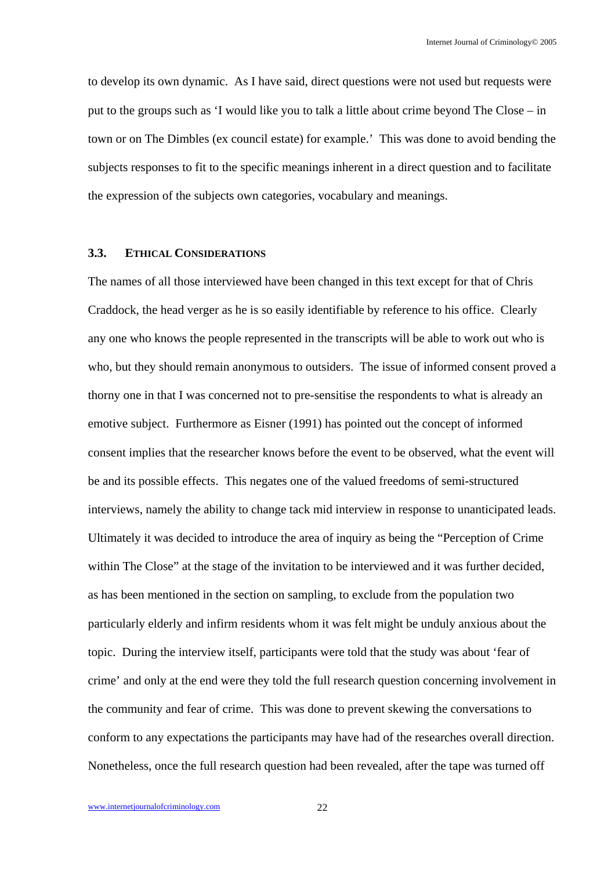to develop its own dynamic. As I have said, direct questions were not used but requests were put to the groups such as 'I would like you to talk a little about crime beyond The Close – in town or on The Dimbles (ex council estate) for example.' This was done to avoid bending the subjects responses to fit to the specific meanings inherent in a direct question and to facilitate the expression of the subjects own categories, vocabulary and meanings.

#### **3.3. ETHICAL CONSIDERATIONS**

The names of all those interviewed have been changed in this text except for that of Chris Craddock, the head verger as he is so easily identifiable by reference to his office. Clearly any one who knows the people represented in the transcripts will be able to work out who is who, but they should remain anonymous to outsiders. The issue of informed consent proved a thorny one in that I was concerned not to pre-sensitise the respondents to what is already an emotive subject. Furthermore as Eisner (1991) has pointed out the concept of informed consent implies that the researcher knows before the event to be observed, what the event will be and its possible effects. This negates one of the valued freedoms of semi-structured interviews, namely the ability to change tack mid interview in response to unanticipated leads. Ultimately it was decided to introduce the area of inquiry as being the "Perception of Crime within The Close" at the stage of the invitation to be interviewed and it was further decided, as has been mentioned in the section on sampling, to exclude from the population two particularly elderly and infirm residents whom it was felt might be unduly anxious about the topic. During the interview itself, participants were told that the study was about 'fear of crime' and only at the end were they told the full research question concerning involvement in the community and fear of crime. This was done to prevent skewing the conversations to conform to any expectations the participants may have had of the researches overall direction. Nonetheless, once the full research question had been revealed, after the tape was turned off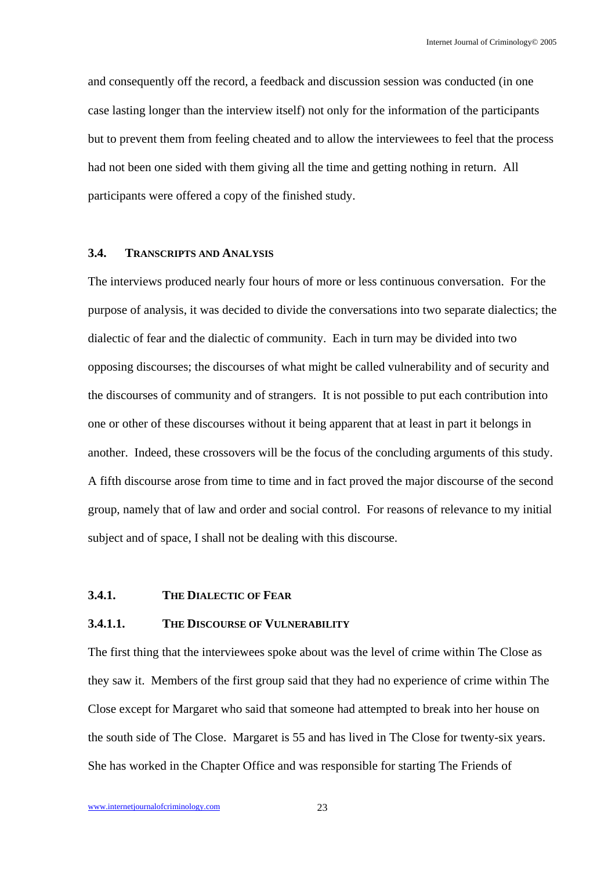and consequently off the record, a feedback and discussion session was conducted (in one case lasting longer than the interview itself) not only for the information of the participants but to prevent them from feeling cheated and to allow the interviewees to feel that the process had not been one sided with them giving all the time and getting nothing in return. All participants were offered a copy of the finished study.

## **3.4. TRANSCRIPTS AND ANALYSIS**

The interviews produced nearly four hours of more or less continuous conversation. For the purpose of analysis, it was decided to divide the conversations into two separate dialectics; the dialectic of fear and the dialectic of community. Each in turn may be divided into two opposing discourses; the discourses of what might be called vulnerability and of security and the discourses of community and of strangers. It is not possible to put each contribution into one or other of these discourses without it being apparent that at least in part it belongs in another. Indeed, these crossovers will be the focus of the concluding arguments of this study. A fifth discourse arose from time to time and in fact proved the major discourse of the second group, namely that of law and order and social control. For reasons of relevance to my initial subject and of space, I shall not be dealing with this discourse.

## **3.4.1. THE DIALECTIC OF FEAR**

#### **3.4.1.1. THE DISCOURSE OF VULNERABILITY**

The first thing that the interviewees spoke about was the level of crime within The Close as they saw it. Members of the first group said that they had no experience of crime within The Close except for Margaret who said that someone had attempted to break into her house on the south side of The Close. Margaret is 55 and has lived in The Close for twenty-six years. She has worked in the Chapter Office and was responsible for starting The Friends of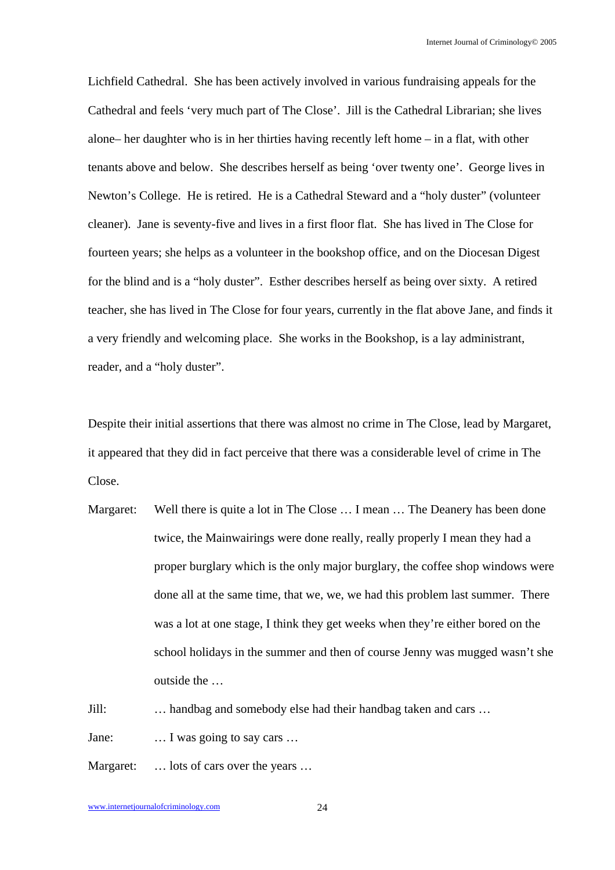Lichfield Cathedral. She has been actively involved in various fundraising appeals for the Cathedral and feels 'very much part of The Close'. Jill is the Cathedral Librarian; she lives alone– her daughter who is in her thirties having recently left home – in a flat, with other tenants above and below. She describes herself as being 'over twenty one'. George lives in Newton's College. He is retired. He is a Cathedral Steward and a "holy duster" (volunteer cleaner). Jane is seventy-five and lives in a first floor flat. She has lived in The Close for fourteen years; she helps as a volunteer in the bookshop office, and on the Diocesan Digest for the blind and is a "holy duster". Esther describes herself as being over sixty. A retired teacher, she has lived in The Close for four years, currently in the flat above Jane, and finds it a very friendly and welcoming place. She works in the Bookshop, is a lay administrant, reader, and a "holy duster".

Despite their initial assertions that there was almost no crime in The Close, lead by Margaret, it appeared that they did in fact perceive that there was a considerable level of crime in The Close.

Margaret: Well there is quite a lot in The Close ... I mean ... The Deanery has been done twice, the Mainwairings were done really, really properly I mean they had a proper burglary which is the only major burglary, the coffee shop windows were done all at the same time, that we, we, we had this problem last summer. There was a lot at one stage, I think they get weeks when they're either bored on the school holidays in the summer and then of course Jenny was mugged wasn't she outside the …

Jill: … handbag and somebody else had their handbag taken and cars …

Jane: … I was going to say cars …

Margaret: ... lots of cars over the years ...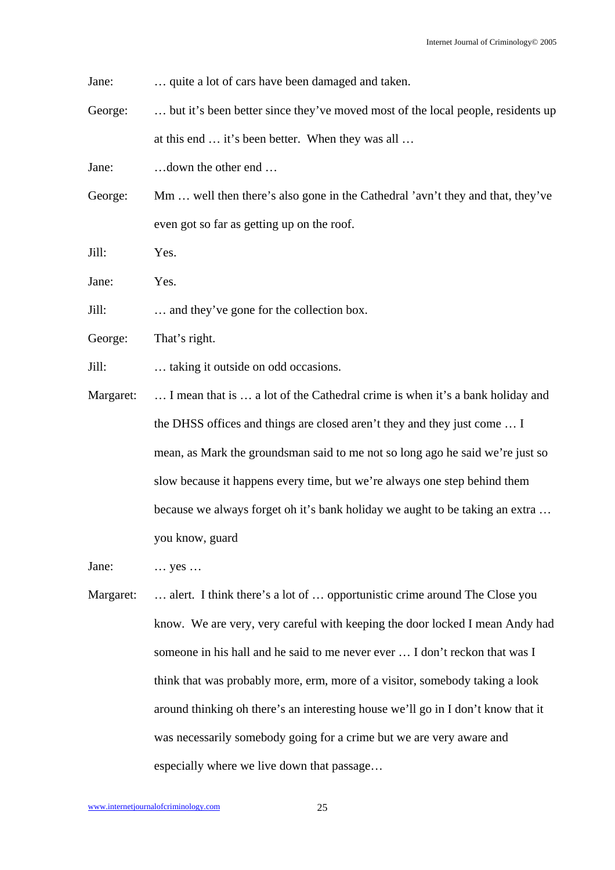Jane: … quite a lot of cars have been damaged and taken.

George: ... but it's been better since they've moved most of the local people, residents up at this end … it's been better. When they was all …

Jane: …down the other end …

George: Mm … well then there's also gone in the Cathedral 'avn't they and that, they've even got so far as getting up on the roof.

Jill: Yes.

Jane: Yes.

Jill: … and they've gone for the collection box.

George: That's right.

Jill: … taking it outside on odd occasions.

Margaret: ... I mean that is ... a lot of the Cathedral crime is when it's a bank holiday and the DHSS offices and things are closed aren't they and they just come … I mean, as Mark the groundsman said to me not so long ago he said we're just so slow because it happens every time, but we're always one step behind them because we always forget oh it's bank holiday we aught to be taking an extra … you know, guard

Jane: … yes …

Margaret: ... alert. I think there's a lot of ... opportunistic crime around The Close you know. We are very, very careful with keeping the door locked I mean Andy had someone in his hall and he said to me never ever … I don't reckon that was I think that was probably more, erm, more of a visitor, somebody taking a look around thinking oh there's an interesting house we'll go in I don't know that it was necessarily somebody going for a crime but we are very aware and especially where we live down that passage…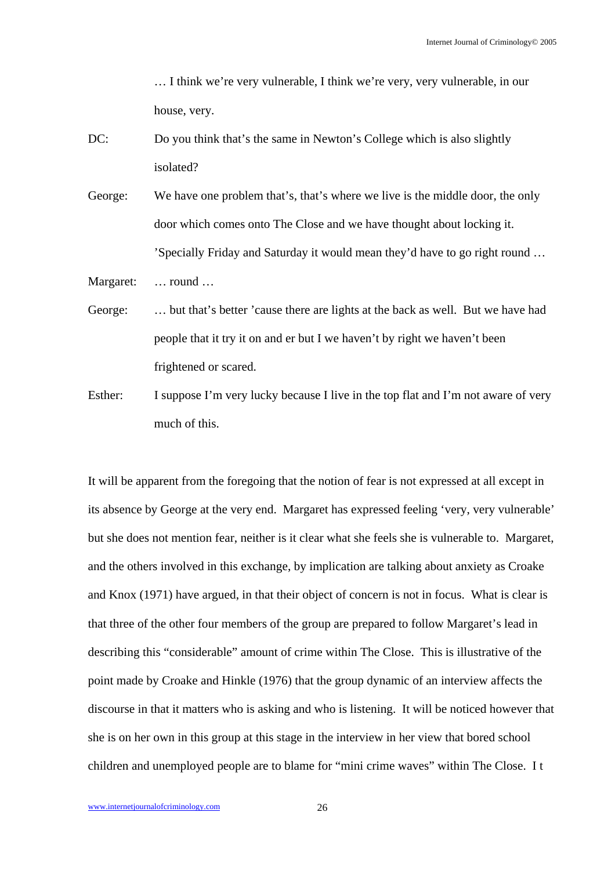… I think we're very vulnerable, I think we're very, very vulnerable, in our house, very.

DC: Do you think that's the same in Newton's College which is also slightly isolated?

George: We have one problem that's, that's where we live is the middle door, the only door which comes onto The Close and we have thought about locking it. 'Specially Friday and Saturday it would mean they'd have to go right round …

Margaret: … round …

- George: … but that's better 'cause there are lights at the back as well. But we have had people that it try it on and er but I we haven't by right we haven't been frightened or scared.
- Esther: I suppose I'm very lucky because I live in the top flat and I'm not aware of very much of this.

It will be apparent from the foregoing that the notion of fear is not expressed at all except in its absence by George at the very end. Margaret has expressed feeling 'very, very vulnerable' but she does not mention fear, neither is it clear what she feels she is vulnerable to. Margaret, and the others involved in this exchange, by implication are talking about anxiety as Croake and Knox (1971) have argued, in that their object of concern is not in focus. What is clear is that three of the other four members of the group are prepared to follow Margaret's lead in describing this "considerable" amount of crime within The Close. This is illustrative of the point made by Croake and Hinkle (1976) that the group dynamic of an interview affects the discourse in that it matters who is asking and who is listening. It will be noticed however that she is on her own in this group at this stage in the interview in her view that bored school children and unemployed people are to blame for "mini crime waves" within The Close. I t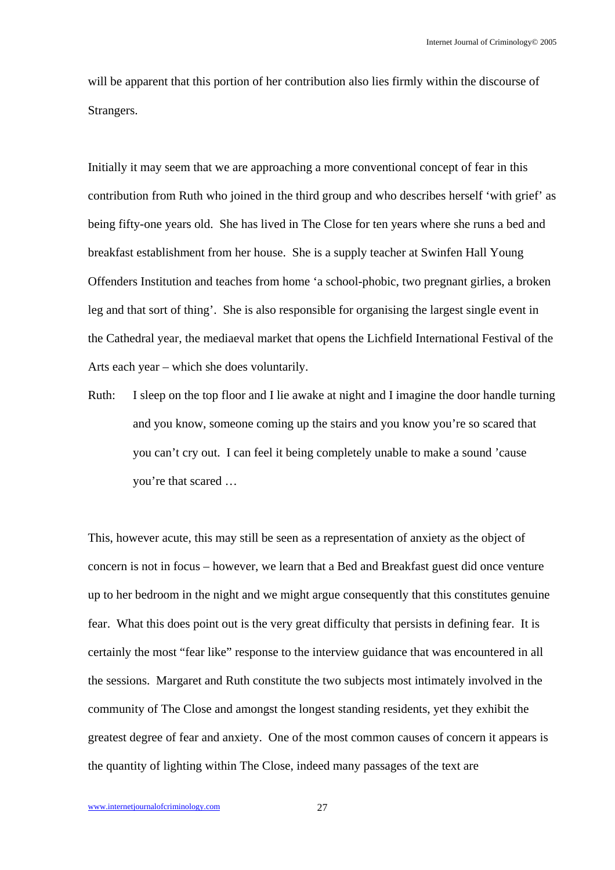will be apparent that this portion of her contribution also lies firmly within the discourse of Strangers.

Initially it may seem that we are approaching a more conventional concept of fear in this contribution from Ruth who joined in the third group and who describes herself 'with grief' as being fifty-one years old. She has lived in The Close for ten years where she runs a bed and breakfast establishment from her house. She is a supply teacher at Swinfen Hall Young Offenders Institution and teaches from home 'a school-phobic, two pregnant girlies, a broken leg and that sort of thing'. She is also responsible for organising the largest single event in the Cathedral year, the mediaeval market that opens the Lichfield International Festival of the Arts each year – which she does voluntarily.

Ruth: I sleep on the top floor and I lie awake at night and I imagine the door handle turning and you know, someone coming up the stairs and you know you're so scared that you can't cry out. I can feel it being completely unable to make a sound 'cause you're that scared …

This, however acute, this may still be seen as a representation of anxiety as the object of concern is not in focus – however, we learn that a Bed and Breakfast guest did once venture up to her bedroom in the night and we might argue consequently that this constitutes genuine fear. What this does point out is the very great difficulty that persists in defining fear. It is certainly the most "fear like" response to the interview guidance that was encountered in all the sessions. Margaret and Ruth constitute the two subjects most intimately involved in the community of The Close and amongst the longest standing residents, yet they exhibit the greatest degree of fear and anxiety. One of the most common causes of concern it appears is the quantity of lighting within The Close, indeed many passages of the text are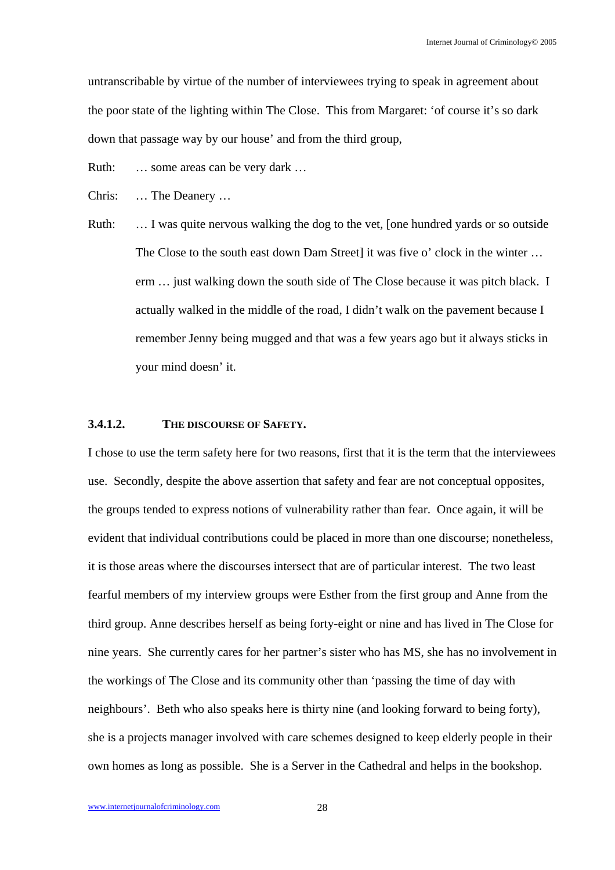untranscribable by virtue of the number of interviewees trying to speak in agreement about the poor state of the lighting within The Close. This from Margaret: 'of course it's so dark down that passage way by our house' and from the third group,

Ruth: ... some areas can be very dark ...

Chris: … The Deanery …

Ruth: … I was quite nervous walking the dog to the vet, [one hundred yards or so outside The Close to the south east down Dam Street] it was five o' clock in the winter … erm … just walking down the south side of The Close because it was pitch black. I actually walked in the middle of the road, I didn't walk on the pavement because I remember Jenny being mugged and that was a few years ago but it always sticks in your mind doesn' it.

## **3.4.1.2. THE DISCOURSE OF SAFETY.**

I chose to use the term safety here for two reasons, first that it is the term that the interviewees use. Secondly, despite the above assertion that safety and fear are not conceptual opposites, the groups tended to express notions of vulnerability rather than fear. Once again, it will be evident that individual contributions could be placed in more than one discourse; nonetheless, it is those areas where the discourses intersect that are of particular interest. The two least fearful members of my interview groups were Esther from the first group and Anne from the third group. Anne describes herself as being forty-eight or nine and has lived in The Close for nine years. She currently cares for her partner's sister who has MS, she has no involvement in the workings of The Close and its community other than 'passing the time of day with neighbours'. Beth who also speaks here is thirty nine (and looking forward to being forty), she is a projects manager involved with care schemes designed to keep elderly people in their own homes as long as possible. She is a Server in the Cathedral and helps in the bookshop.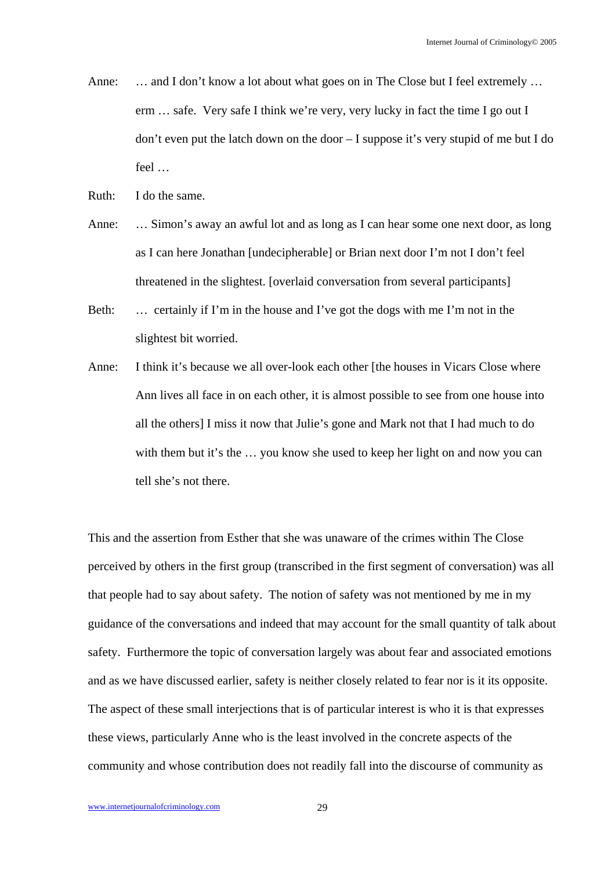Anne: ... and I don't know a lot about what goes on in The Close but I feel extremely ... erm … safe. Very safe I think we're very, very lucky in fact the time I go out I don't even put the latch down on the door – I suppose it's very stupid of me but I do feel …

Ruth: I do the same.

- Anne: … Simon's away an awful lot and as long as I can hear some one next door, as long as I can here Jonathan [undecipherable] or Brian next door I'm not I don't feel threatened in the slightest. [overlaid conversation from several participants]
- Beth: … certainly if I'm in the house and I've got the dogs with me I'm not in the slightest bit worried.
- Anne: I think it's because we all over-look each other [the houses in Vicars Close where Ann lives all face in on each other, it is almost possible to see from one house into all the others] I miss it now that Julie's gone and Mark not that I had much to do with them but it's the ... you know she used to keep her light on and now you can tell she's not there.

This and the assertion from Esther that she was unaware of the crimes within The Close perceived by others in the first group (transcribed in the first segment of conversation) was all that people had to say about safety. The notion of safety was not mentioned by me in my guidance of the conversations and indeed that may account for the small quantity of talk about safety. Furthermore the topic of conversation largely was about fear and associated emotions and as we have discussed earlier, safety is neither closely related to fear nor is it its opposite. The aspect of these small interjections that is of particular interest is who it is that expresses these views, particularly Anne who is the least involved in the concrete aspects of the community and whose contribution does not readily fall into the discourse of community as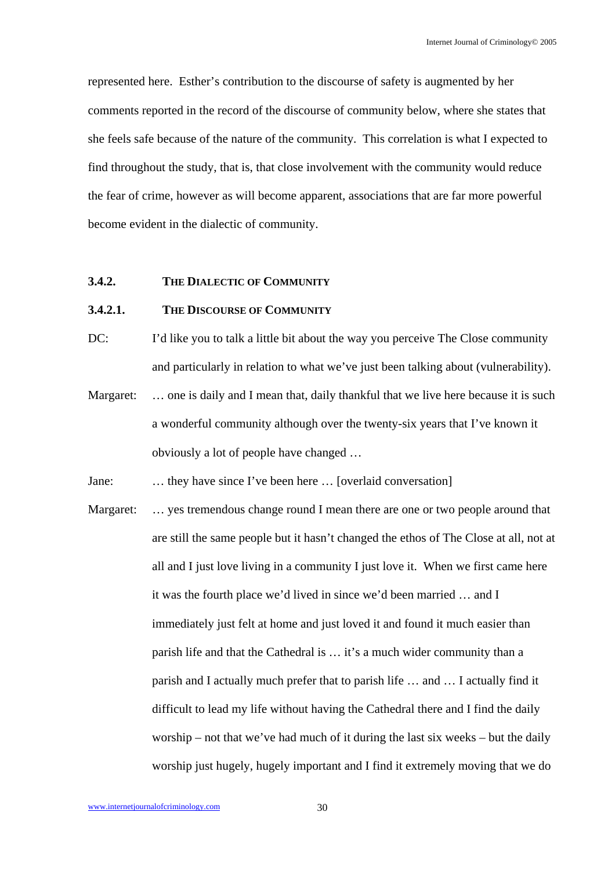represented here. Esther's contribution to the discourse of safety is augmented by her comments reported in the record of the discourse of community below, where she states that she feels safe because of the nature of the community. This correlation is what I expected to find throughout the study, that is, that close involvement with the community would reduce the fear of crime, however as will become apparent, associations that are far more powerful become evident in the dialectic of community.

## **3.4.2. THE DIALECTIC OF COMMUNITY**

## **3.4.2.1. THE DISCOURSE OF COMMUNITY**

DC: I'd like you to talk a little bit about the way you perceive The Close community and particularly in relation to what we've just been talking about (vulnerability).

Margaret: ... one is daily and I mean that, daily thankful that we live here because it is such a wonderful community although over the twenty-six years that I've known it obviously a lot of people have changed …

Jane: … they have since I've been here … [overlaid conversation]

Margaret: ... yes tremendous change round I mean there are one or two people around that are still the same people but it hasn't changed the ethos of The Close at all, not at all and I just love living in a community I just love it. When we first came here it was the fourth place we'd lived in since we'd been married … and I immediately just felt at home and just loved it and found it much easier than parish life and that the Cathedral is … it's a much wider community than a parish and I actually much prefer that to parish life … and … I actually find it difficult to lead my life without having the Cathedral there and I find the daily worship – not that we've had much of it during the last six weeks – but the daily worship just hugely, hugely important and I find it extremely moving that we do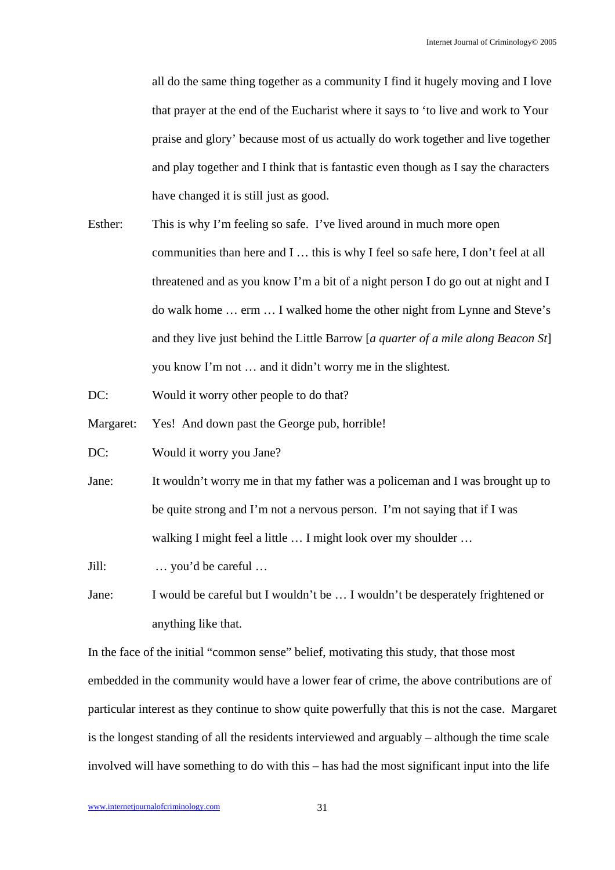all do the same thing together as a community I find it hugely moving and I love that prayer at the end of the Eucharist where it says to 'to live and work to Your praise and glory' because most of us actually do work together and live together and play together and I think that is fantastic even though as I say the characters have changed it is still just as good.

- Esther: This is why I'm feeling so safe. I've lived around in much more open communities than here and I … this is why I feel so safe here, I don't feel at all threatened and as you know I'm a bit of a night person I do go out at night and I do walk home … erm … I walked home the other night from Lynne and Steve's and they live just behind the Little Barrow [*a quarter of a mile along Beacon St*] you know I'm not … and it didn't worry me in the slightest.
- DC: Would it worry other people to do that?
- Margaret: Yes! And down past the George pub, horrible!
- DC: Would it worry you Jane?
- Jane: It wouldn't worry me in that my father was a policeman and I was brought up to be quite strong and I'm not a nervous person. I'm not saying that if I was walking I might feel a little ... I might look over my shoulder ...

Jill: … you'd be careful …

Jane: I would be careful but I wouldn't be … I wouldn't be desperately frightened or anything like that.

In the face of the initial "common sense" belief, motivating this study, that those most embedded in the community would have a lower fear of crime, the above contributions are of particular interest as they continue to show quite powerfully that this is not the case. Margaret is the longest standing of all the residents interviewed and arguably – although the time scale involved will have something to do with this – has had the most significant input into the life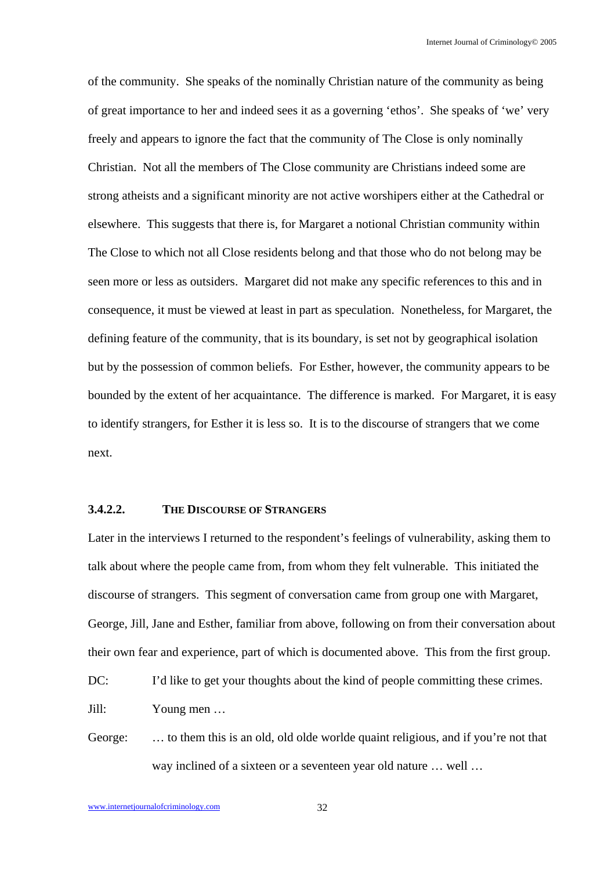of the community. She speaks of the nominally Christian nature of the community as being of great importance to her and indeed sees it as a governing 'ethos'. She speaks of 'we' very freely and appears to ignore the fact that the community of The Close is only nominally Christian. Not all the members of The Close community are Christians indeed some are strong atheists and a significant minority are not active worshipers either at the Cathedral or elsewhere. This suggests that there is, for Margaret a notional Christian community within The Close to which not all Close residents belong and that those who do not belong may be seen more or less as outsiders. Margaret did not make any specific references to this and in consequence, it must be viewed at least in part as speculation. Nonetheless, for Margaret, the defining feature of the community, that is its boundary, is set not by geographical isolation but by the possession of common beliefs. For Esther, however, the community appears to be bounded by the extent of her acquaintance. The difference is marked. For Margaret, it is easy to identify strangers, for Esther it is less so. It is to the discourse of strangers that we come next.

## **3.4.2.2. THE DISCOURSE OF STRANGERS**

Later in the interviews I returned to the respondent's feelings of vulnerability, asking them to talk about where the people came from, from whom they felt vulnerable. This initiated the discourse of strangers. This segment of conversation came from group one with Margaret, George, Jill, Jane and Esther, familiar from above, following on from their conversation about their own fear and experience, part of which is documented above. This from the first group.

DC: I'd like to get your thoughts about the kind of people committing these crimes.

Jill: Young men …

George: ... to them this is an old, old olde worlde quaint religious, and if you're not that way inclined of a sixteen or a seventeen year old nature … well …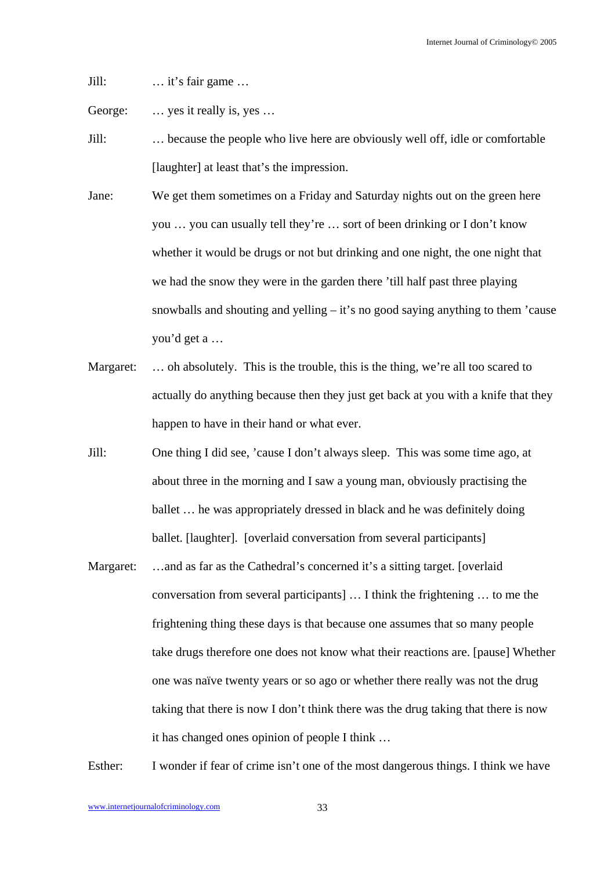Jill: … it's fair game …

George: ... yes it really is, yes ...

Jill: … because the people who live here are obviously well off, idle or comfortable [laughter] at least that's the impression.

- Jane: We get them sometimes on a Friday and Saturday nights out on the green here you … you can usually tell they're … sort of been drinking or I don't know whether it would be drugs or not but drinking and one night, the one night that we had the snow they were in the garden there 'till half past three playing snowballs and shouting and yelling – it's no good saying anything to them 'cause you'd get a …
- Margaret: ... oh absolutely. This is the trouble, this is the thing, we're all too scared to actually do anything because then they just get back at you with a knife that they happen to have in their hand or what ever.
- Jill: One thing I did see, 'cause I don't always sleep. This was some time ago, at about three in the morning and I saw a young man, obviously practising the ballet … he was appropriately dressed in black and he was definitely doing ballet. [laughter]. [overlaid conversation from several participants]
- Margaret: ...and as far as the Cathedral's concerned it's a sitting target. [overlaid] conversation from several participants] … I think the frightening … to me the frightening thing these days is that because one assumes that so many people take drugs therefore one does not know what their reactions are. [pause] Whether one was naïve twenty years or so ago or whether there really was not the drug taking that there is now I don't think there was the drug taking that there is now it has changed ones opinion of people I think …

Esther: I wonder if fear of crime isn't one of the most dangerous things. I think we have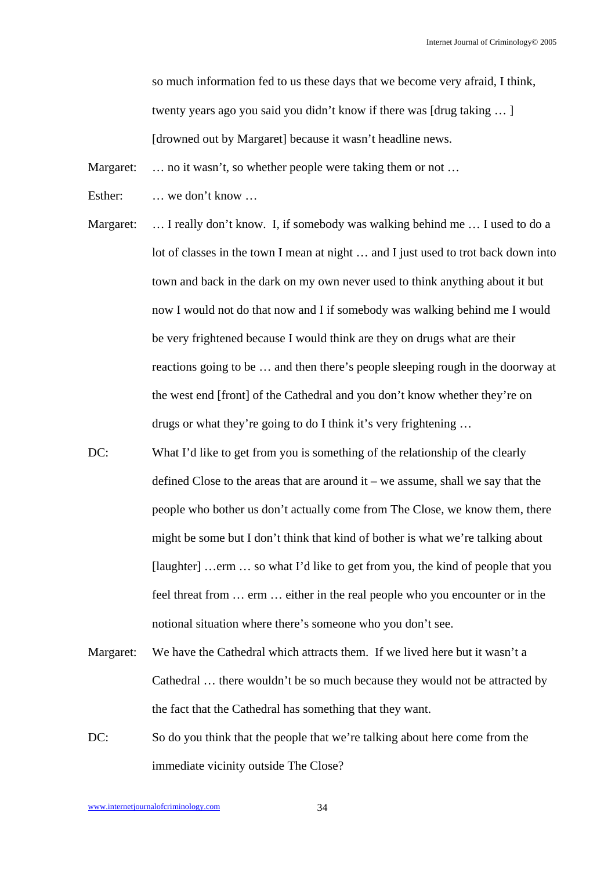so much information fed to us these days that we become very afraid, I think, twenty years ago you said you didn't know if there was [drug taking … ] [drowned out by Margaret] because it wasn't headline news.

Margaret: ... no it wasn't, so whether people were taking them or not ...

Esther: … we don't know …

Margaret: ... I really don't know. I, if somebody was walking behind me ... I used to do a lot of classes in the town I mean at night … and I just used to trot back down into town and back in the dark on my own never used to think anything about it but now I would not do that now and I if somebody was walking behind me I would be very frightened because I would think are they on drugs what are their reactions going to be … and then there's people sleeping rough in the doorway at the west end [front] of the Cathedral and you don't know whether they're on drugs or what they're going to do I think it's very frightening …

- DC: What I'd like to get from you is something of the relationship of the clearly defined Close to the areas that are around  $it - we$  assume, shall we say that the people who bother us don't actually come from The Close, we know them, there might be some but I don't think that kind of bother is what we're talking about [laughter] …erm … so what I'd like to get from you, the kind of people that you feel threat from … erm … either in the real people who you encounter or in the notional situation where there's someone who you don't see.
- Margaret: We have the Cathedral which attracts them. If we lived here but it wasn't a Cathedral … there wouldn't be so much because they would not be attracted by the fact that the Cathedral has something that they want.
- DC: So do you think that the people that we're talking about here come from the immediate vicinity outside The Close?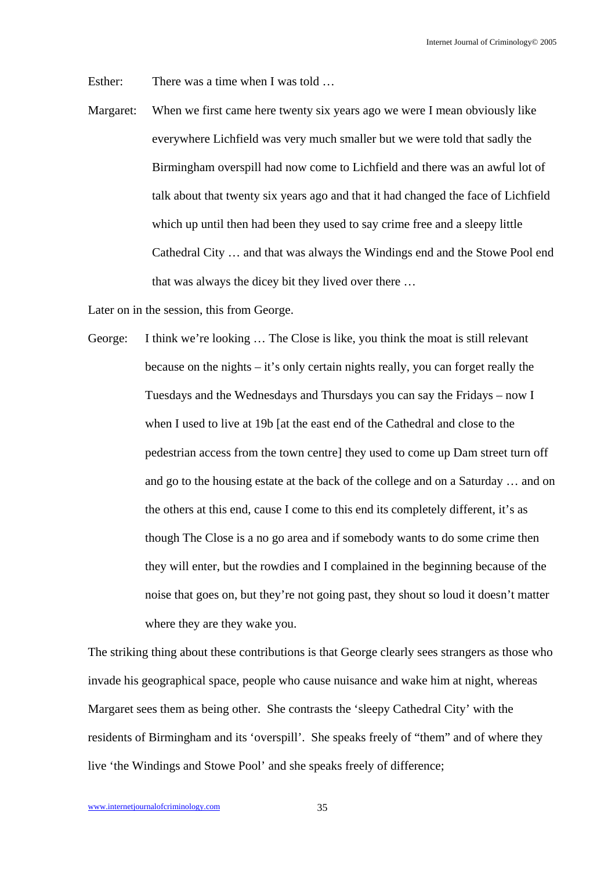Esther: There was a time when I was told ...

Margaret: When we first came here twenty six years ago we were I mean obviously like everywhere Lichfield was very much smaller but we were told that sadly the Birmingham overspill had now come to Lichfield and there was an awful lot of talk about that twenty six years ago and that it had changed the face of Lichfield which up until then had been they used to say crime free and a sleepy little Cathedral City … and that was always the Windings end and the Stowe Pool end that was always the dicey bit they lived over there …

Later on in the session, this from George.

George: I think we're looking … The Close is like, you think the moat is still relevant because on the nights – it's only certain nights really, you can forget really the Tuesdays and the Wednesdays and Thursdays you can say the Fridays – now I when I used to live at 19b [at the east end of the Cathedral and close to the pedestrian access from the town centre] they used to come up Dam street turn off and go to the housing estate at the back of the college and on a Saturday … and on the others at this end, cause I come to this end its completely different, it's as though The Close is a no go area and if somebody wants to do some crime then they will enter, but the rowdies and I complained in the beginning because of the noise that goes on, but they're not going past, they shout so loud it doesn't matter where they are they wake you.

The striking thing about these contributions is that George clearly sees strangers as those who invade his geographical space, people who cause nuisance and wake him at night, whereas Margaret sees them as being other. She contrasts the 'sleepy Cathedral City' with the residents of Birmingham and its 'overspill'. She speaks freely of "them" and of where they live 'the Windings and Stowe Pool' and she speaks freely of difference;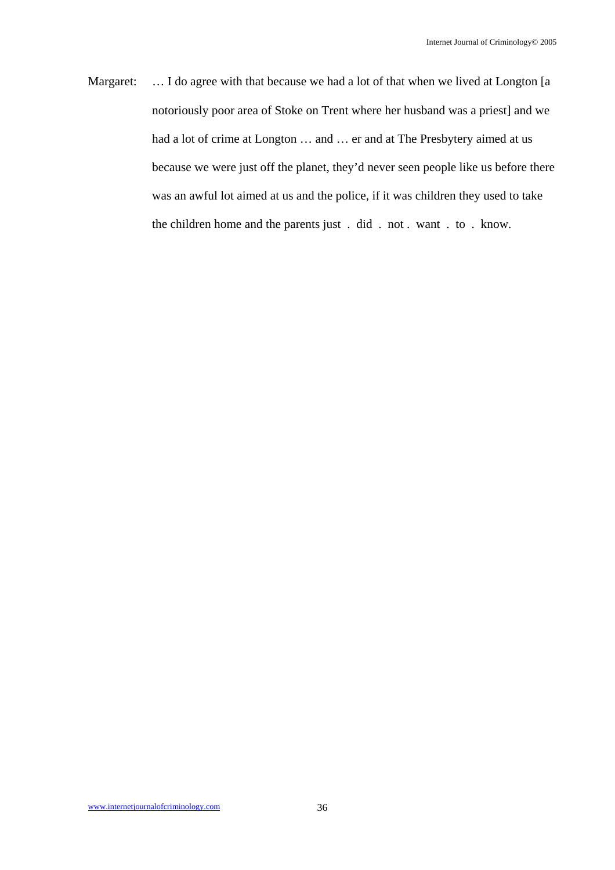Margaret: ... I do agree with that because we had a lot of that when we lived at Longton [a notoriously poor area of Stoke on Trent where her husband was a priest] and we had a lot of crime at Longton … and … er and at The Presbytery aimed at us because we were just off the planet, they'd never seen people like us before there was an awful lot aimed at us and the police, if it was children they used to take the children home and the parents just . did . not . want . to . know.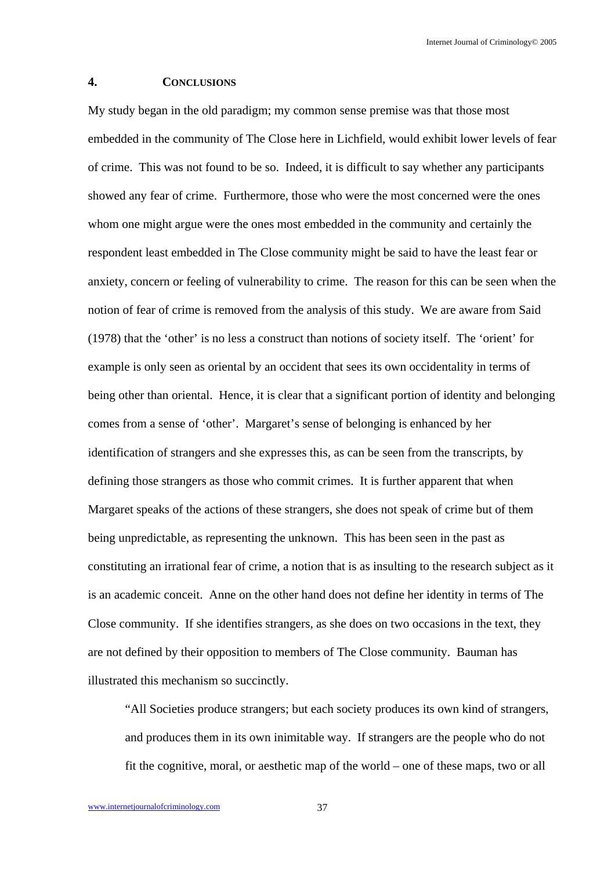Internet Journal of Criminology© 2005

### **4. CONCLUSIONS**

My study began in the old paradigm; my common sense premise was that those most embedded in the community of The Close here in Lichfield, would exhibit lower levels of fear of crime. This was not found to be so. Indeed, it is difficult to say whether any participants showed any fear of crime. Furthermore, those who were the most concerned were the ones whom one might argue were the ones most embedded in the community and certainly the respondent least embedded in The Close community might be said to have the least fear or anxiety, concern or feeling of vulnerability to crime. The reason for this can be seen when the notion of fear of crime is removed from the analysis of this study. We are aware from Said (1978) that the 'other' is no less a construct than notions of society itself. The 'orient' for example is only seen as oriental by an occident that sees its own occidentality in terms of being other than oriental. Hence, it is clear that a significant portion of identity and belonging comes from a sense of 'other'. Margaret's sense of belonging is enhanced by her identification of strangers and she expresses this, as can be seen from the transcripts, by defining those strangers as those who commit crimes. It is further apparent that when Margaret speaks of the actions of these strangers, she does not speak of crime but of them being unpredictable, as representing the unknown. This has been seen in the past as constituting an irrational fear of crime, a notion that is as insulting to the research subject as it is an academic conceit. Anne on the other hand does not define her identity in terms of The Close community. If she identifies strangers, as she does on two occasions in the text, they are not defined by their opposition to members of The Close community. Bauman has illustrated this mechanism so succinctly.

"All Societies produce strangers; but each society produces its own kind of strangers, and produces them in its own inimitable way. If strangers are the people who do not fit the cognitive, moral, or aesthetic map of the world – one of these maps, two or all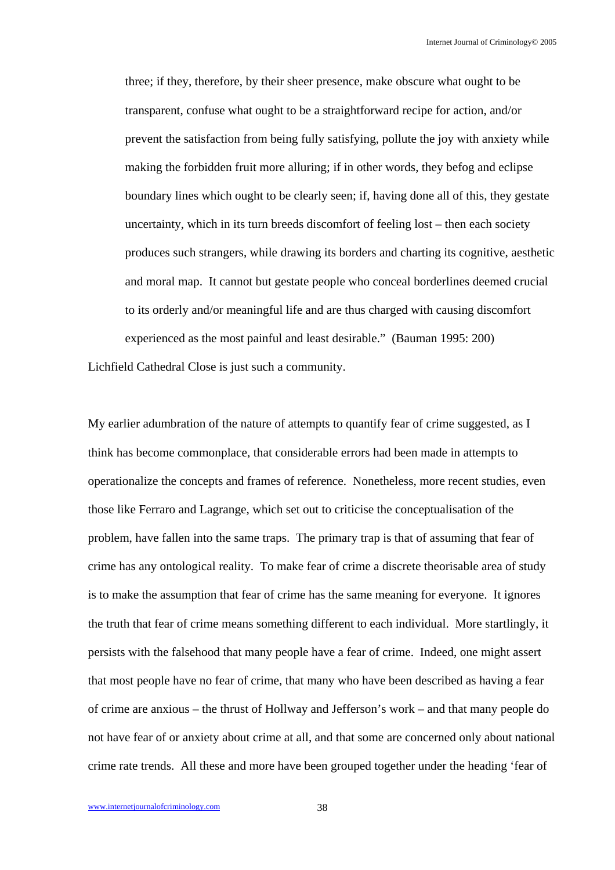three; if they, therefore, by their sheer presence, make obscure what ought to be transparent, confuse what ought to be a straightforward recipe for action, and/or prevent the satisfaction from being fully satisfying, pollute the joy with anxiety while making the forbidden fruit more alluring; if in other words, they befog and eclipse boundary lines which ought to be clearly seen; if, having done all of this, they gestate uncertainty, which in its turn breeds discomfort of feeling lost – then each society produces such strangers, while drawing its borders and charting its cognitive, aesthetic and moral map. It cannot but gestate people who conceal borderlines deemed crucial to its orderly and/or meaningful life and are thus charged with causing discomfort experienced as the most painful and least desirable." (Bauman 1995: 200)

Lichfield Cathedral Close is just such a community.

My earlier adumbration of the nature of attempts to quantify fear of crime suggested, as I think has become commonplace, that considerable errors had been made in attempts to operationalize the concepts and frames of reference. Nonetheless, more recent studies, even those like Ferraro and Lagrange, which set out to criticise the conceptualisation of the problem, have fallen into the same traps. The primary trap is that of assuming that fear of crime has any ontological reality. To make fear of crime a discrete theorisable area of study is to make the assumption that fear of crime has the same meaning for everyone. It ignores the truth that fear of crime means something different to each individual. More startlingly, it persists with the falsehood that many people have a fear of crime. Indeed, one might assert that most people have no fear of crime, that many who have been described as having a fear of crime are anxious – the thrust of Hollway and Jefferson's work – and that many people do not have fear of or anxiety about crime at all, and that some are concerned only about national crime rate trends. All these and more have been grouped together under the heading 'fear of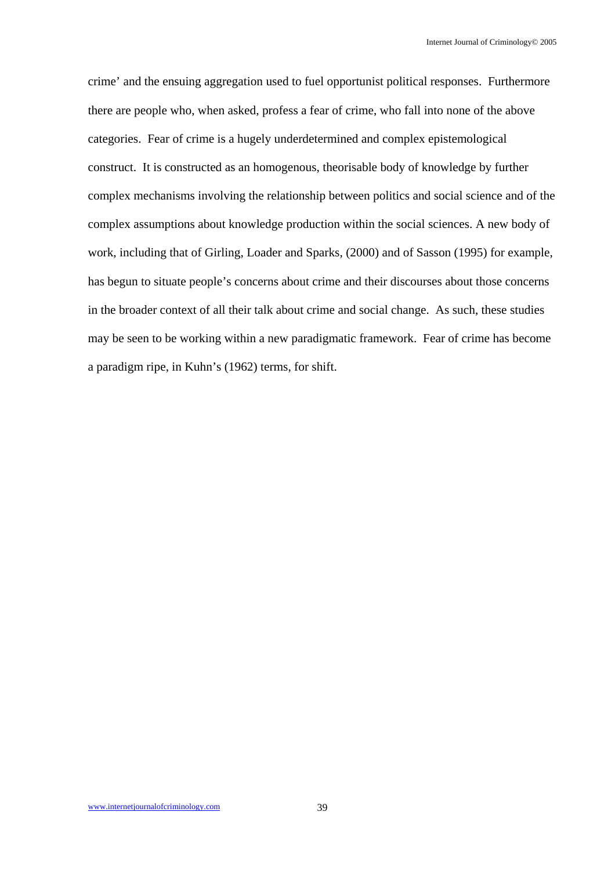crime' and the ensuing aggregation used to fuel opportunist political responses. Furthermore there are people who, when asked, profess a fear of crime, who fall into none of the above categories. Fear of crime is a hugely underdetermined and complex epistemological construct. It is constructed as an homogenous, theorisable body of knowledge by further complex mechanisms involving the relationship between politics and social science and of the complex assumptions about knowledge production within the social sciences. A new body of work, including that of Girling, Loader and Sparks, (2000) and of Sasson (1995) for example, has begun to situate people's concerns about crime and their discourses about those concerns in the broader context of all their talk about crime and social change. As such, these studies may be seen to be working within a new paradigmatic framework. Fear of crime has become a paradigm ripe, in Kuhn's (1962) terms, for shift.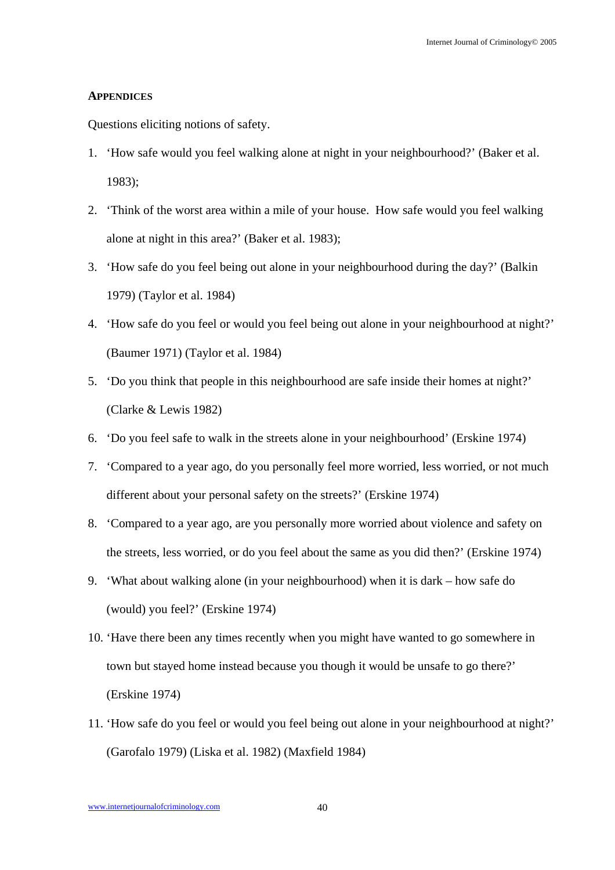#### **APPENDICES**

Questions eliciting notions of safety.

- 1. 'How safe would you feel walking alone at night in your neighbourhood?' (Baker et al. 1983);
- 2. 'Think of the worst area within a mile of your house. How safe would you feel walking alone at night in this area?' (Baker et al. 1983);
- 3. 'How safe do you feel being out alone in your neighbourhood during the day?' (Balkin 1979) (Taylor et al. 1984)
- 4. 'How safe do you feel or would you feel being out alone in your neighbourhood at night?' (Baumer 1971) (Taylor et al. 1984)
- 5. 'Do you think that people in this neighbourhood are safe inside their homes at night?' (Clarke & Lewis 1982)
- 6. 'Do you feel safe to walk in the streets alone in your neighbourhood' (Erskine 1974)
- 7. 'Compared to a year ago, do you personally feel more worried, less worried, or not much different about your personal safety on the streets?' (Erskine 1974)
- 8. 'Compared to a year ago, are you personally more worried about violence and safety on the streets, less worried, or do you feel about the same as you did then?' (Erskine 1974)
- 9. 'What about walking alone (in your neighbourhood) when it is dark how safe do (would) you feel?' (Erskine 1974)
- 10. 'Have there been any times recently when you might have wanted to go somewhere in town but stayed home instead because you though it would be unsafe to go there?' (Erskine 1974)
- 11. 'How safe do you feel or would you feel being out alone in your neighbourhood at night?' (Garofalo 1979) (Liska et al. 1982) (Maxfield 1984)

www.internetjournalofcriminology.com 40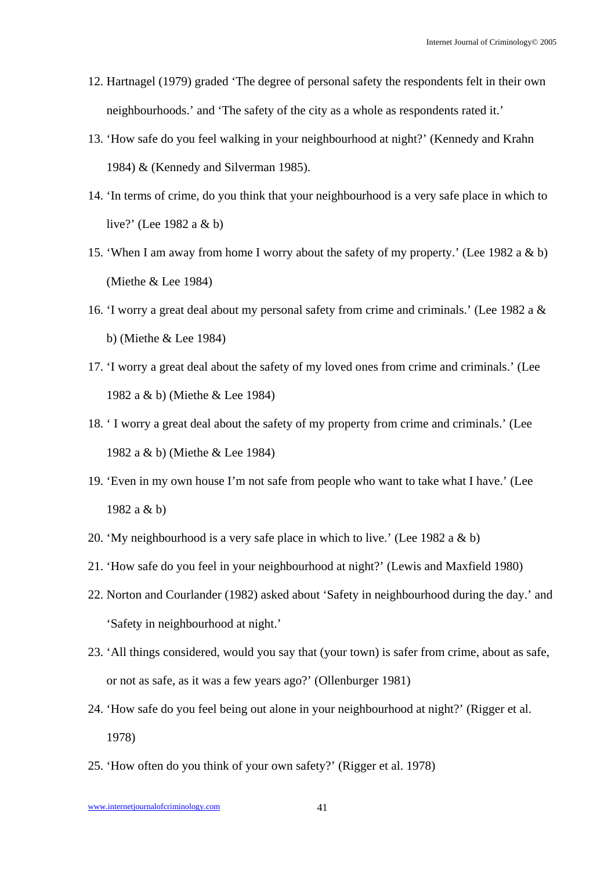- 12. Hartnagel (1979) graded 'The degree of personal safety the respondents felt in their own neighbourhoods.' and 'The safety of the city as a whole as respondents rated it.'
- 13. 'How safe do you feel walking in your neighbourhood at night?' (Kennedy and Krahn 1984) & (Kennedy and Silverman 1985).
- 14. 'In terms of crime, do you think that your neighbourhood is a very safe place in which to live?' (Lee 1982 a & b)
- 15. 'When I am away from home I worry about the safety of my property.' (Lee 1982 a & b) (Miethe & Lee 1984)
- 16. 'I worry a great deal about my personal safety from crime and criminals.' (Lee 1982 a & b) (Miethe & Lee 1984)
- 17. 'I worry a great deal about the safety of my loved ones from crime and criminals.' (Lee 1982 a & b) (Miethe & Lee 1984)
- 18. ' I worry a great deal about the safety of my property from crime and criminals.' (Lee 1982 a & b) (Miethe & Lee 1984)
- 19. 'Even in my own house I'm not safe from people who want to take what I have.' (Lee 1982 a & b)
- 20. 'My neighbourhood is a very safe place in which to live.' (Lee 1982 a & b)
- 21. 'How safe do you feel in your neighbourhood at night?' (Lewis and Maxfield 1980)
- 22. Norton and Courlander (1982) asked about 'Safety in neighbourhood during the day.' and 'Safety in neighbourhood at night.'
- 23. 'All things considered, would you say that (your town) is safer from crime, about as safe, or not as safe, as it was a few years ago?' (Ollenburger 1981)
- 24. 'How safe do you feel being out alone in your neighbourhood at night?' (Rigger et al. 1978)
- 25. 'How often do you think of your own safety?' (Rigger et al. 1978)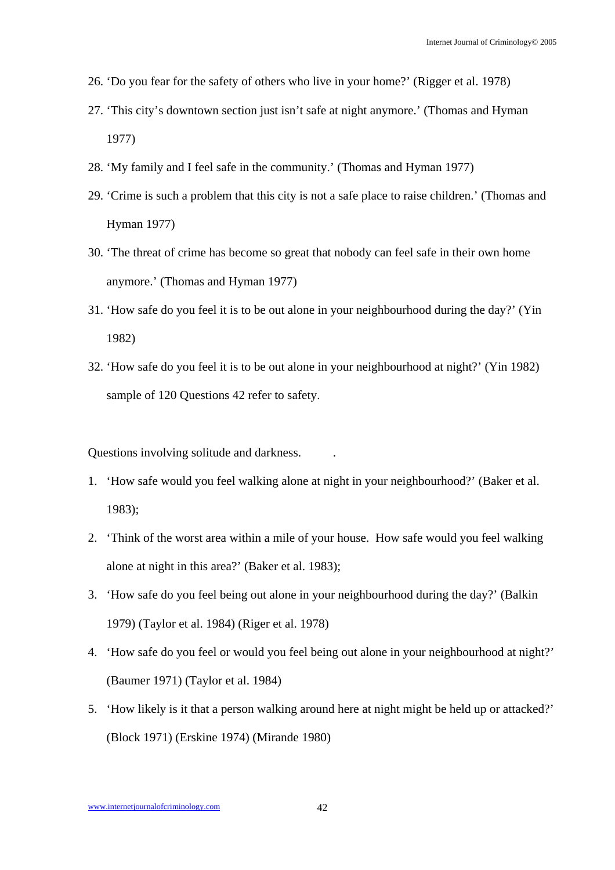- 26. 'Do you fear for the safety of others who live in your home?' (Rigger et al. 1978)
- 27. 'This city's downtown section just isn't safe at night anymore.' (Thomas and Hyman 1977)
- 28. 'My family and I feel safe in the community.' (Thomas and Hyman 1977)
- 29. 'Crime is such a problem that this city is not a safe place to raise children.' (Thomas and Hyman 1977)
- 30. 'The threat of crime has become so great that nobody can feel safe in their own home anymore.' (Thomas and Hyman 1977)
- 31. 'How safe do you feel it is to be out alone in your neighbourhood during the day?' (Yin 1982)
- 32. 'How safe do you feel it is to be out alone in your neighbourhood at night?' (Yin 1982) sample of 120 Questions 42 refer to safety.

Questions involving solitude and darkness. .

- 1. 'How safe would you feel walking alone at night in your neighbourhood?' (Baker et al. 1983);
- 2. 'Think of the worst area within a mile of your house. How safe would you feel walking alone at night in this area?' (Baker et al. 1983);
- 3. 'How safe do you feel being out alone in your neighbourhood during the day?' (Balkin 1979) (Taylor et al. 1984) (Riger et al. 1978)
- 4. 'How safe do you feel or would you feel being out alone in your neighbourhood at night?' (Baumer 1971) (Taylor et al. 1984)
- 5. 'How likely is it that a person walking around here at night might be held up or attacked?' (Block 1971) (Erskine 1974) (Mirande 1980)

www.internetjournalofcriminology.com 42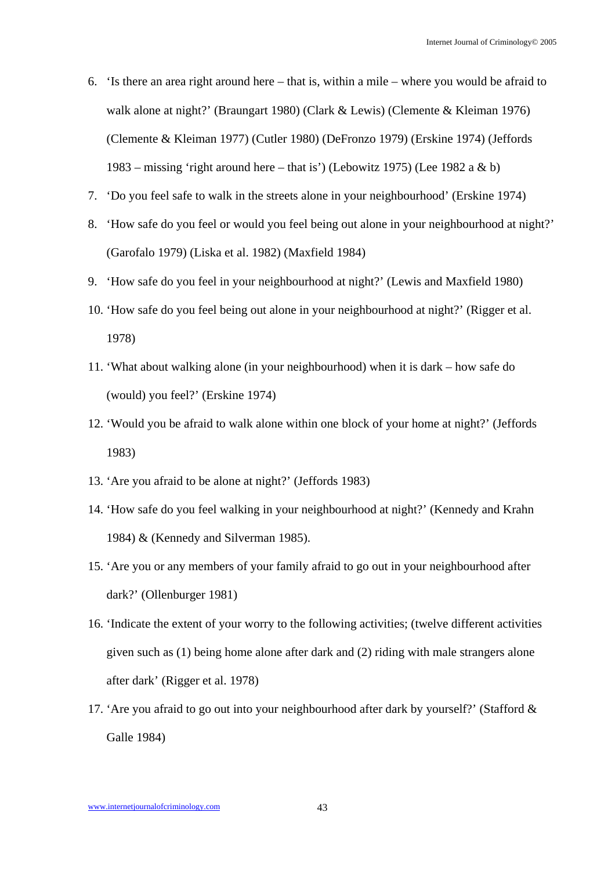- 6. 'Is there an area right around here that is, within a mile where you would be afraid to walk alone at night?' (Braungart 1980) (Clark & Lewis) (Clemente & Kleiman 1976) (Clemente & Kleiman 1977) (Cutler 1980) (DeFronzo 1979) (Erskine 1974) (Jeffords 1983 – missing 'right around here – that is') (Lebowitz 1975) (Lee 1982 a & b)
- 7. 'Do you feel safe to walk in the streets alone in your neighbourhood' (Erskine 1974)
- 8. 'How safe do you feel or would you feel being out alone in your neighbourhood at night?' (Garofalo 1979) (Liska et al. 1982) (Maxfield 1984)
- 9. 'How safe do you feel in your neighbourhood at night?' (Lewis and Maxfield 1980)
- 10. 'How safe do you feel being out alone in your neighbourhood at night?' (Rigger et al. 1978)
- 11. 'What about walking alone (in your neighbourhood) when it is dark how safe do (would) you feel?' (Erskine 1974)
- 12. 'Would you be afraid to walk alone within one block of your home at night?' (Jeffords 1983)
- 13. 'Are you afraid to be alone at night?' (Jeffords 1983)
- 14. 'How safe do you feel walking in your neighbourhood at night?' (Kennedy and Krahn 1984) & (Kennedy and Silverman 1985).
- 15. 'Are you or any members of your family afraid to go out in your neighbourhood after dark?' (Ollenburger 1981)
- 16. 'Indicate the extent of your worry to the following activities; (twelve different activities given such as (1) being home alone after dark and (2) riding with male strangers alone after dark' (Rigger et al. 1978)
- 17. 'Are you afraid to go out into your neighbourhood after dark by yourself?' (Stafford & Galle 1984)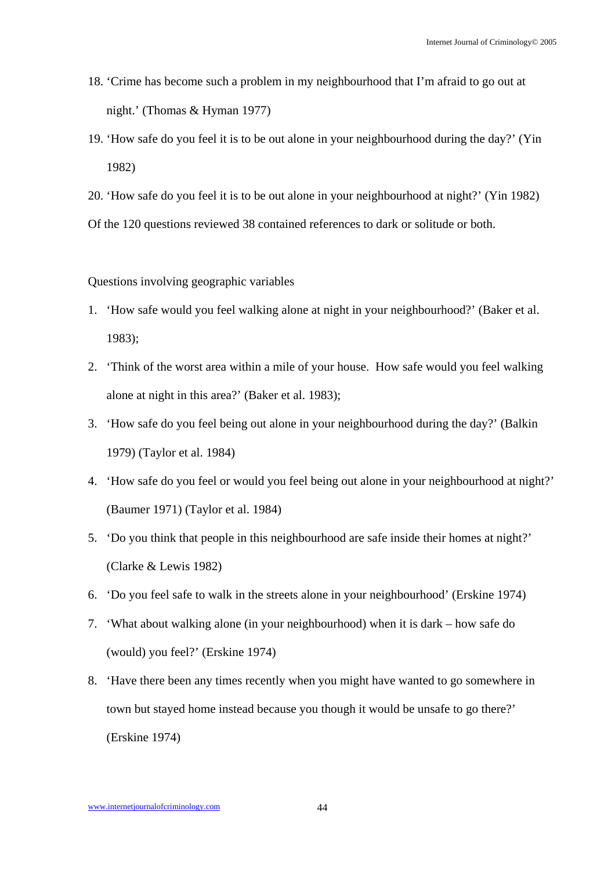- 18. 'Crime has become such a problem in my neighbourhood that I'm afraid to go out at night.' (Thomas & Hyman 1977)
- 19. 'How safe do you feel it is to be out alone in your neighbourhood during the day?' (Yin 1982)
- 20. 'How safe do you feel it is to be out alone in your neighbourhood at night?' (Yin 1982)

Of the 120 questions reviewed 38 contained references to dark or solitude or both.

Questions involving geographic variables

- 1. 'How safe would you feel walking alone at night in your neighbourhood?' (Baker et al. 1983);
- 2. 'Think of the worst area within a mile of your house. How safe would you feel walking alone at night in this area?' (Baker et al. 1983);
- 3. 'How safe do you feel being out alone in your neighbourhood during the day?' (Balkin 1979) (Taylor et al. 1984)
- 4. 'How safe do you feel or would you feel being out alone in your neighbourhood at night?' (Baumer 1971) (Taylor et al. 1984)
- 5. 'Do you think that people in this neighbourhood are safe inside their homes at night?' (Clarke & Lewis 1982)
- 6. 'Do you feel safe to walk in the streets alone in your neighbourhood' (Erskine 1974)
- 7. 'What about walking alone (in your neighbourhood) when it is dark how safe do (would) you feel?' (Erskine 1974)
- 8. 'Have there been any times recently when you might have wanted to go somewhere in town but stayed home instead because you though it would be unsafe to go there?' (Erskine 1974)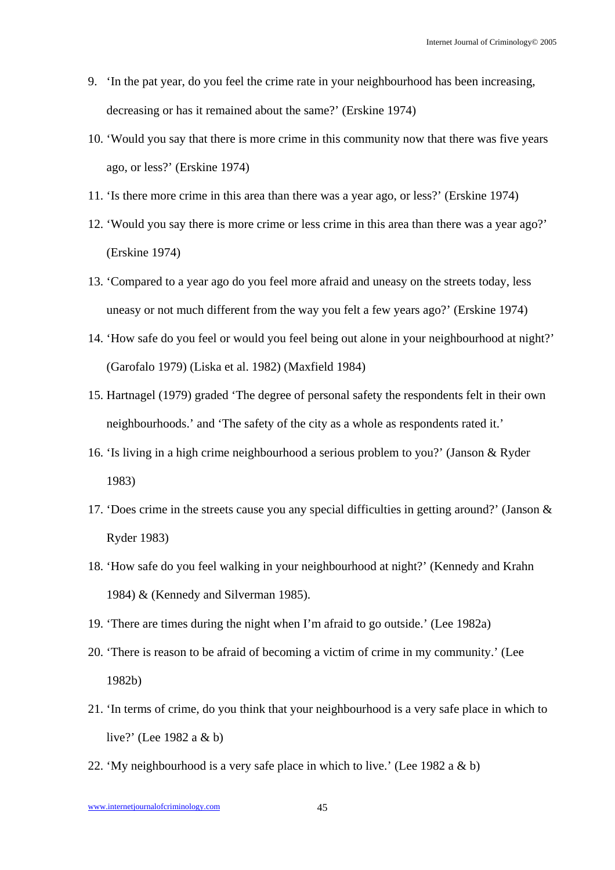- 9. 'In the pat year, do you feel the crime rate in your neighbourhood has been increasing, decreasing or has it remained about the same?' (Erskine 1974)
- 10. 'Would you say that there is more crime in this community now that there was five years ago, or less?' (Erskine 1974)
- 11. 'Is there more crime in this area than there was a year ago, or less?' (Erskine 1974)
- 12. 'Would you say there is more crime or less crime in this area than there was a year ago?' (Erskine 1974)
- 13. 'Compared to a year ago do you feel more afraid and uneasy on the streets today, less uneasy or not much different from the way you felt a few years ago?' (Erskine 1974)
- 14. 'How safe do you feel or would you feel being out alone in your neighbourhood at night?' (Garofalo 1979) (Liska et al. 1982) (Maxfield 1984)
- 15. Hartnagel (1979) graded 'The degree of personal safety the respondents felt in their own neighbourhoods.' and 'The safety of the city as a whole as respondents rated it.'
- 16. 'Is living in a high crime neighbourhood a serious problem to you?' (Janson & Ryder 1983)
- 17. 'Does crime in the streets cause you any special difficulties in getting around?' (Janson & Ryder 1983)
- 18. 'How safe do you feel walking in your neighbourhood at night?' (Kennedy and Krahn 1984) & (Kennedy and Silverman 1985).
- 19. 'There are times during the night when I'm afraid to go outside.' (Lee 1982a)
- 20. 'There is reason to be afraid of becoming a victim of crime in my community.' (Lee 1982b)
- 21. 'In terms of crime, do you think that your neighbourhood is a very safe place in which to live?' (Lee 1982 a & b)
- 22. 'My neighbourhood is a very safe place in which to live.' (Lee 1982 a & b)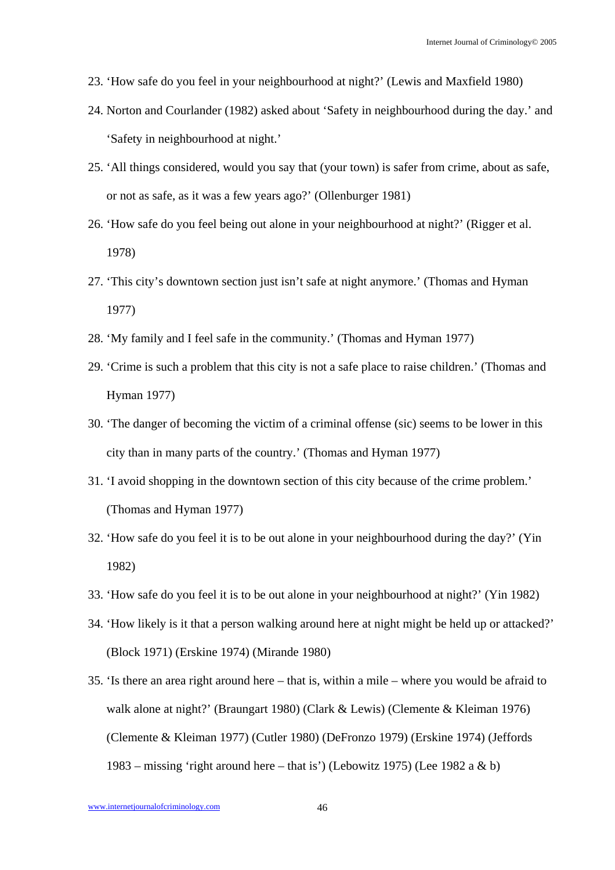- 23. 'How safe do you feel in your neighbourhood at night?' (Lewis and Maxfield 1980)
- 24. Norton and Courlander (1982) asked about 'Safety in neighbourhood during the day.' and 'Safety in neighbourhood at night.'
- 25. 'All things considered, would you say that (your town) is safer from crime, about as safe, or not as safe, as it was a few years ago?' (Ollenburger 1981)
- 26. 'How safe do you feel being out alone in your neighbourhood at night?' (Rigger et al. 1978)
- 27. 'This city's downtown section just isn't safe at night anymore.' (Thomas and Hyman 1977)
- 28. 'My family and I feel safe in the community.' (Thomas and Hyman 1977)
- 29. 'Crime is such a problem that this city is not a safe place to raise children.' (Thomas and Hyman 1977)
- 30. 'The danger of becoming the victim of a criminal offense (sic) seems to be lower in this city than in many parts of the country.' (Thomas and Hyman 1977)
- 31. 'I avoid shopping in the downtown section of this city because of the crime problem.' (Thomas and Hyman 1977)
- 32. 'How safe do you feel it is to be out alone in your neighbourhood during the day?' (Yin 1982)
- 33. 'How safe do you feel it is to be out alone in your neighbourhood at night?' (Yin 1982)
- 34. 'How likely is it that a person walking around here at night might be held up or attacked?' (Block 1971) (Erskine 1974) (Mirande 1980)
- 35. 'Is there an area right around here that is, within a mile where you would be afraid to walk alone at night?' (Braungart 1980) (Clark & Lewis) (Clemente & Kleiman 1976) (Clemente & Kleiman 1977) (Cutler 1980) (DeFronzo 1979) (Erskine 1974) (Jeffords 1983 – missing 'right around here – that is') (Lebowitz 1975) (Lee 1982 a & b)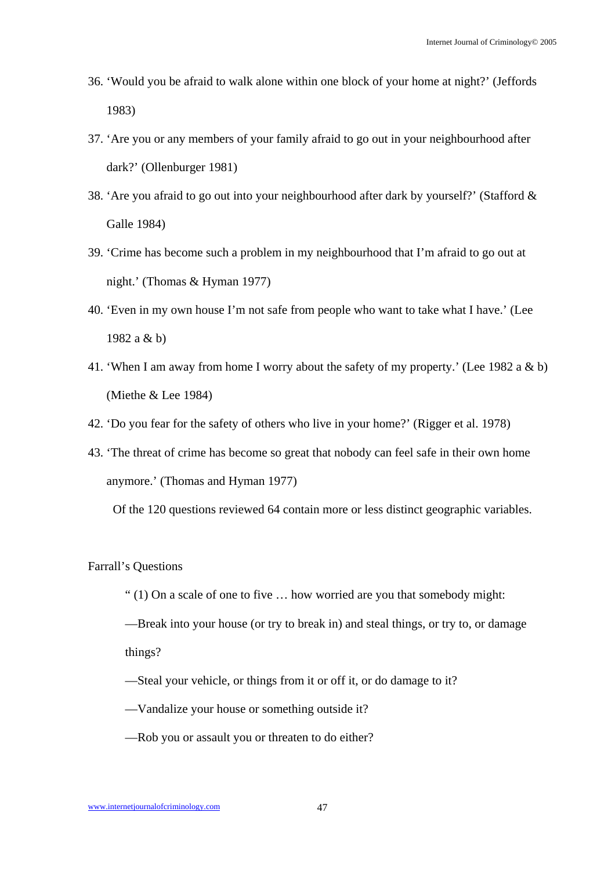- 36. 'Would you be afraid to walk alone within one block of your home at night?' (Jeffords 1983)
- 37. 'Are you or any members of your family afraid to go out in your neighbourhood after dark?' (Ollenburger 1981)
- 38. 'Are you afraid to go out into your neighbourhood after dark by yourself?' (Stafford & Galle 1984)
- 39. 'Crime has become such a problem in my neighbourhood that I'm afraid to go out at night.' (Thomas & Hyman 1977)
- 40. 'Even in my own house I'm not safe from people who want to take what I have.' (Lee 1982 a & b)
- 41. 'When I am away from home I worry about the safety of my property.' (Lee 1982 a & b) (Miethe & Lee 1984)
- 42. 'Do you fear for the safety of others who live in your home?' (Rigger et al. 1978)
- 43. 'The threat of crime has become so great that nobody can feel safe in their own home anymore.' (Thomas and Hyman 1977)

Of the 120 questions reviewed 64 contain more or less distinct geographic variables.

### Farrall's Questions

" $(1)$  On a scale of one to five  $\dots$  how worried are you that somebody might:

—Break into your house (or try to break in) and steal things, or try to, or damage things?

- —Steal your vehicle, or things from it or off it, or do damage to it?
- —Vandalize your house or something outside it?
- —Rob you or assault you or threaten to do either?

www.internetjournalofcriminology.com 47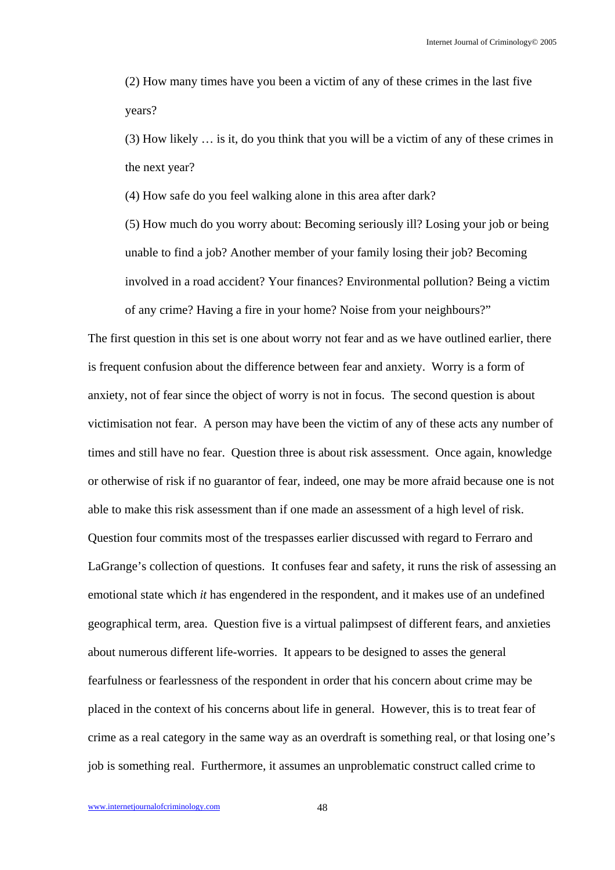(2) How many times have you been a victim of any of these crimes in the last five years?

(3) How likely … is it, do you think that you will be a victim of any of these crimes in the next year?

(4) How safe do you feel walking alone in this area after dark?

(5) How much do you worry about: Becoming seriously ill? Losing your job or being unable to find a job? Another member of your family losing their job? Becoming involved in a road accident? Your finances? Environmental pollution? Being a victim of any crime? Having a fire in your home? Noise from your neighbours?"

The first question in this set is one about worry not fear and as we have outlined earlier, there is frequent confusion about the difference between fear and anxiety. Worry is a form of anxiety, not of fear since the object of worry is not in focus. The second question is about victimisation not fear. A person may have been the victim of any of these acts any number of times and still have no fear. Question three is about risk assessment. Once again, knowledge or otherwise of risk if no guarantor of fear, indeed, one may be more afraid because one is not able to make this risk assessment than if one made an assessment of a high level of risk. Question four commits most of the trespasses earlier discussed with regard to Ferraro and LaGrange's collection of questions. It confuses fear and safety, it runs the risk of assessing an emotional state which *it* has engendered in the respondent, and it makes use of an undefined geographical term, area. Question five is a virtual palimpsest of different fears, and anxieties about numerous different life-worries. It appears to be designed to asses the general fearfulness or fearlessness of the respondent in order that his concern about crime may be placed in the context of his concerns about life in general. However, this is to treat fear of crime as a real category in the same way as an overdraft is something real, or that losing one's job is something real. Furthermore, it assumes an unproblematic construct called crime to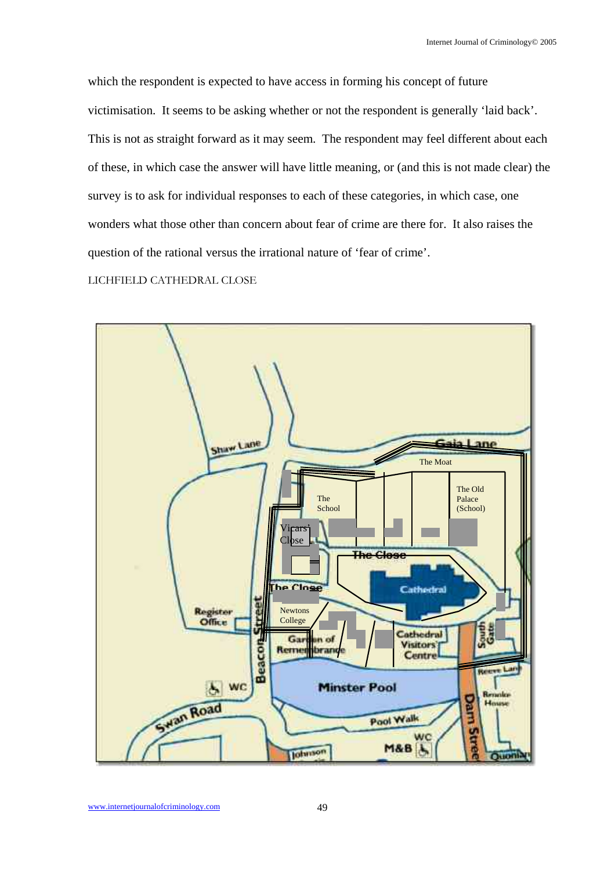which the respondent is expected to have access in forming his concept of future victimisation. It seems to be asking whether or not the respondent is generally 'laid back'. This is not as straight forward as it may seem. The respondent may feel different about each of these, in which case the answer will have little meaning, or (and this is not made clear) the survey is to ask for individual responses to each of these categories, in which case, one wonders what those other than concern about fear of crime are there for. It also raises the question of the rational versus the irrational nature of 'fear of crime'.

LICHFIELD CATHEDRAL CLOSE

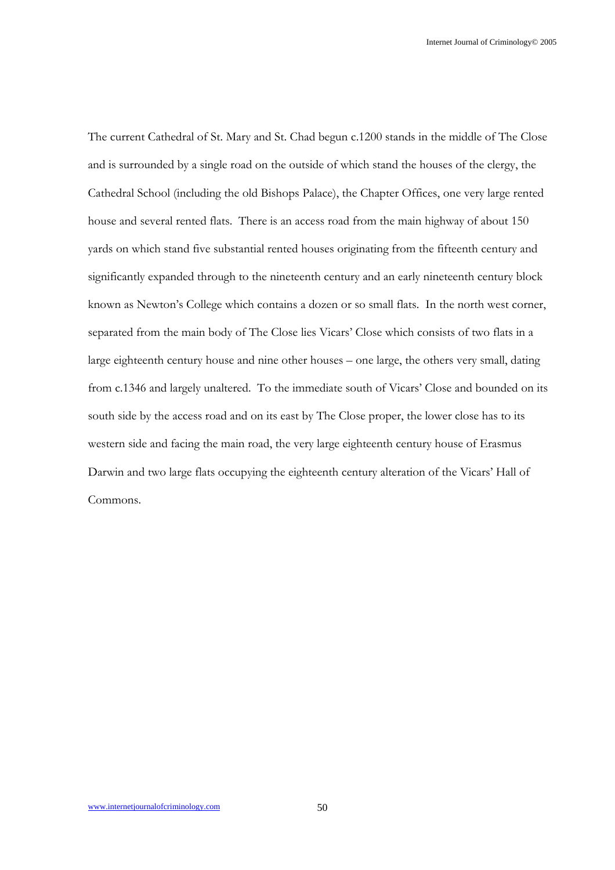The current Cathedral of St. Mary and St. Chad begun c.1200 stands in the middle of The Close and is surrounded by a single road on the outside of which stand the houses of the clergy, the Cathedral School (including the old Bishops Palace), the Chapter Offices, one very large rented house and several rented flats. There is an access road from the main highway of about 150 yards on which stand five substantial rented houses originating from the fifteenth century and significantly expanded through to the nineteenth century and an early nineteenth century block known as Newton's College which contains a dozen or so small flats. In the north west corner, separated from the main body of The Close lies Vicars' Close which consists of two flats in a large eighteenth century house and nine other houses – one large, the others very small, dating from c.1346 and largely unaltered. To the immediate south of Vicars' Close and bounded on its south side by the access road and on its east by The Close proper, the lower close has to its western side and facing the main road, the very large eighteenth century house of Erasmus Darwin and two large flats occupying the eighteenth century alteration of the Vicars' Hall of Commons.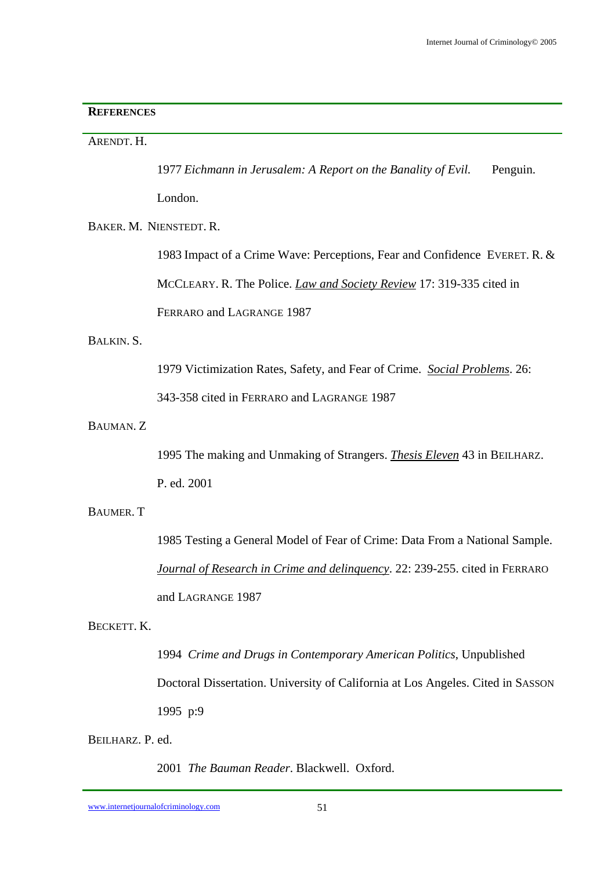## **REFERENCES**

## ARENDT. H.

1977 *Eichmann in Jerusalem: A Report on the Banality of Evil.* Penguin.

London.

BAKER. M. NIENSTEDT. R.

 1983 Impact of a Crime Wave: Perceptions, Fear and Confidence EVERET. R. & MCCLEARY. R. The Police. *Law and Society Review* 17: 319-335 cited in FERRARO and LAGRANGE 1987

## BALKIN. S.

1979 Victimization Rates, Safety, and Fear of Crime. *Social Problems*. 26:

343-358 cited in FERRARO and LAGRANGE 1987

# BAUMAN. Z

 1995 The making and Unmaking of Strangers. *Thesis Eleven* 43 in BEILHARZ. P. ed. 2001

# BAUMER. T

 1985 Testing a General Model of Fear of Crime: Data From a National Sample. *Journal of Research in Crime and delinquency*. 22: 239-255. cited in FERRARO and LAGRANGE 1987

# BECKETT. K.

 1994 *Crime and Drugs in Contemporary American Politics*, Unpublished Doctoral Dissertation. University of California at Los Angeles. Cited in SASSON 1995 p:9

BEILHARZ. P. ed.

2001 *The Bauman Reader*. Blackwell. Oxford.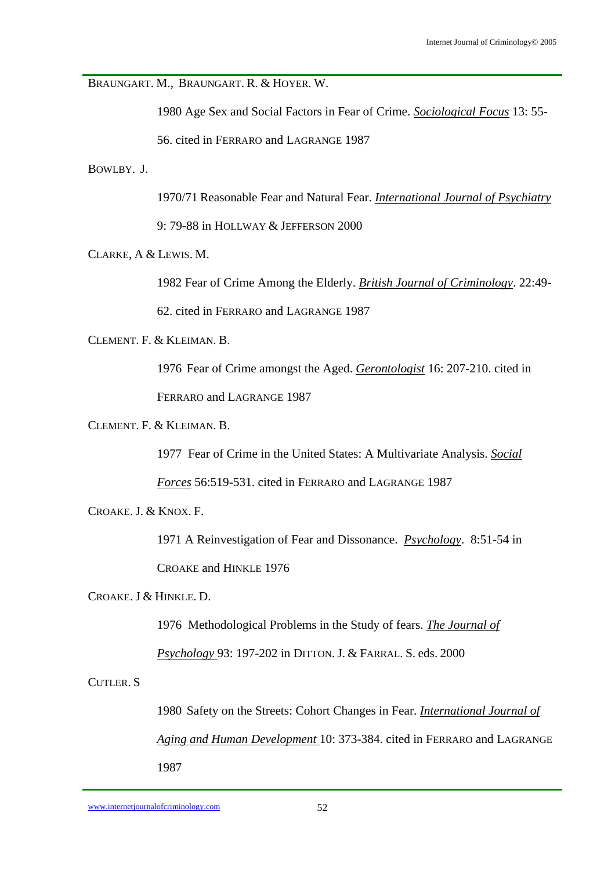BRAUNGART. M., BRAUNGART. R. & HOYER. W.

1980 Age Sex and Social Factors in Fear of Crime. *Sociological Focus* 13: 55-

56. cited in FERRARO and LAGRANGE 1987

BOWLBY. J.

1970/71 Reasonable Fear and Natural Fear. *International Journal of Psychiatry*

9: 79-88 in HOLLWAY & JEFFERSON 2000

CLARKE, A & LEWIS. M.

1982 Fear of Crime Among the Elderly. *British Journal of Criminology*. 22:49-

62. cited in FERRARO and LAGRANGE 1987

CLEMENT. F. & KLEIMAN. B.

 1976 Fear of Crime amongst the Aged. *Gerontologist* 16: 207-210. cited in FERRARO and LAGRANGE 1987

CLEMENT. F. & KLEIMAN. B.

1977 Fear of Crime in the United States: A Multivariate Analysis. *Social* 

*Forces* 56:519-531. cited in FERRARO and LAGRANGE 1987

CROAKE. J. & KNOX. F.

 1971 A Reinvestigation of Fear and Dissonance. *Psychology*. 8:51-54 in CROAKE and HINKLE 1976

CROAKE. J & HINKLE. D.

1976 Methodological Problems in the Study of fears. *The Journal of* 

*Psychology* 93: 197-202 in DITTON. J. & FARRAL. S. eds. 2000

CUTLER. S

 1980 Safety on the Streets: Cohort Changes in Fear. *International Journal of Aging and Human Development* 10: 373-384. cited in FERRARO and LAGRANGE 1987

www.internetjournalofcriminology.com 52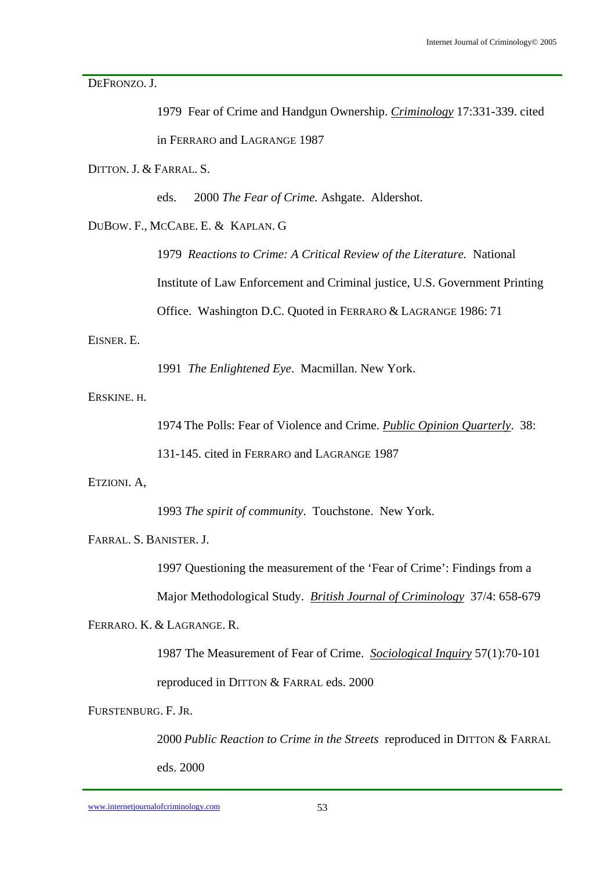DEFRONZO. J.

|                         |                                   | 1979 Fear of Crime and Handgun Ownership. <i>Criminology</i> 17:331-339. cited |  |
|-------------------------|-----------------------------------|--------------------------------------------------------------------------------|--|
|                         |                                   | in FERRARO and LAGRANGE 1987                                                   |  |
| DITTON. J. & FARRAL. S. |                                   |                                                                                |  |
|                         | eds.                              | 2000 The Fear of Crime. Ashgate. Aldershot.                                    |  |
|                         | DUBOW. F., MCCABE. E. & KAPLAN. G |                                                                                |  |
|                         |                                   | 1979 Reactions to Crime: A Critical Review of the Literature. National         |  |
|                         |                                   | Institute of Law Enforcement and Criminal justice, U.S. Government Printing    |  |
|                         |                                   | Office. Washington D.C. Quoted in FERRARO & LAGRANGE 1986: 71                  |  |
| EISNER. E.              |                                   |                                                                                |  |
|                         |                                   | 1991 The Enlightened Eye. Macmillan. New York.                                 |  |
| ERSKINE. H.             |                                   |                                                                                |  |

1974 The Polls: Fear of Violence and Crime. *Public Opinion Quarterly*. 38:

131-145. cited in FERRARO and LAGRANGE 1987

ETZIONI. A,

1993 *The spirit of community*. Touchstone. New York.

FARRAL. S. BANISTER. J.

1997 Questioning the measurement of the 'Fear of Crime': Findings from a

Major Methodological Study. *British Journal of Criminology* 37/4: 658-679

FERRARO. K. & LAGRANGE. R.

 1987 The Measurement of Fear of Crime. *Sociological Inquiry* 57(1):70-101 reproduced in DITTON & FARRAL eds. 2000

FURSTENBURG. F. JR.

 2000 *Public Reaction to Crime in the Streets* reproduced in DITTON & FARRAL eds. 2000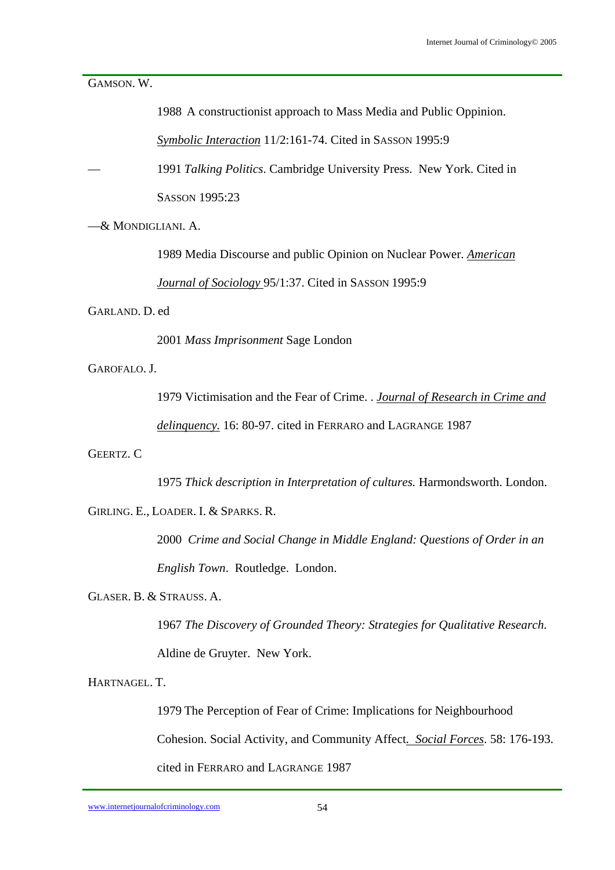GAMSON. W.

| 1988 A constructionist approach to Mass Media and Public Oppinion. |
|--------------------------------------------------------------------|
|--------------------------------------------------------------------|

*Symbolic Interaction* 11/2:161-74. Cited in SASSON 1995:9

— 1991 *Talking Politics*. Cambridge University Press. New York. Cited in SASSON 1995:23

—& MONDIGLIANI. A.

 1989 Media Discourse and public Opinion on Nuclear Power. *American Journal of Sociology* 95/1:37. Cited in SASSON 1995:9

GARLAND. D. ed

2001 *Mass Imprisonment* Sage London

GAROFALO. J.

 1979 Victimisation and the Fear of Crime. . *Journal of Research in Crime and delinquency.* 16: 80-97. cited in FERRARO and LAGRANGE 1987

GEERTZ. C

1975 *Thick description in Interpretation of cultures.* Harmondsworth. London.

GIRLING. E., LOADER. I. & SPARKS. R.

 2000 *Crime and Social Change in Middle England: Questions of Order in an English Town*. Routledge. London.

GLASER. B. & STRAUSS. A.

 1967 *The Discovery of Grounded Theory: Strategies for Qualitative Research.* Aldine de Gruyter. New York.

HARTNAGEL. T.

1979 The Perception of Fear of Crime: Implications for Neighbourhood

Cohesion. Social Activity, and Community Affect*. Social Forces*. 58: 176-193.

cited in FERRARO and LAGRANGE 1987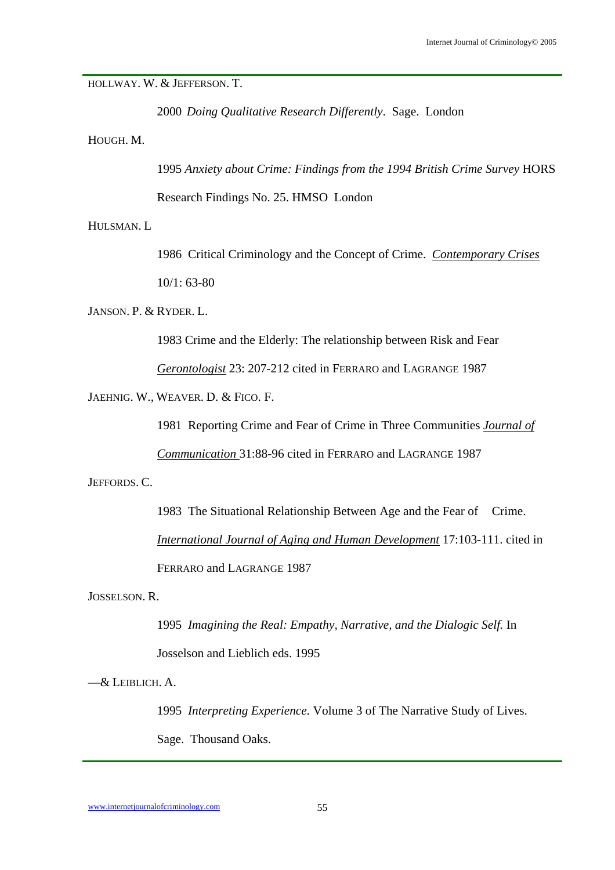#### HOLLWAY. W. & JEFFERSON. T.

2000 *Doing Qualitative Research Differently*. Sage. London

HOUGH. M.

1995 *Anxiety about Crime: Findings from the 1994 British Crime Survey* HORS

Research Findings No. 25. HMSO London

HULSMAN. L

 1986 Critical Criminology and the Concept of Crime. *Contemporary Crises* 10/1: 63-80

JANSON. P. & RYDER. L.

1983 Crime and the Elderly: The relationship between Risk and Fear

*Gerontologist* 23: 207-212 cited in FERRARO and LAGRANGE 1987

JAEHNIG. W., WEAVER. D. & FICO. F.

1981 Reporting Crime and Fear of Crime in Three Communities *Journal of* 

*Communication* 31:88-96 cited in FERRARO and LAGRANGE 1987

JEFFORDS. C.

 1983 The Situational Relationship Between Age and the Fear of Crime. *International Journal of Aging and Human Development* 17:103-111. cited in FERRARO and LAGRANGE 1987

JOSSELSON. R.

 1995 *Imagining the Real: Empathy, Narrative, and the Dialogic Self.* In Josselson and Lieblich eds. 1995

—& LEIBLICH. A.

 1995 *Interpreting Experience.* Volume 3 of The Narrative Study of Lives. Sage. Thousand Oaks.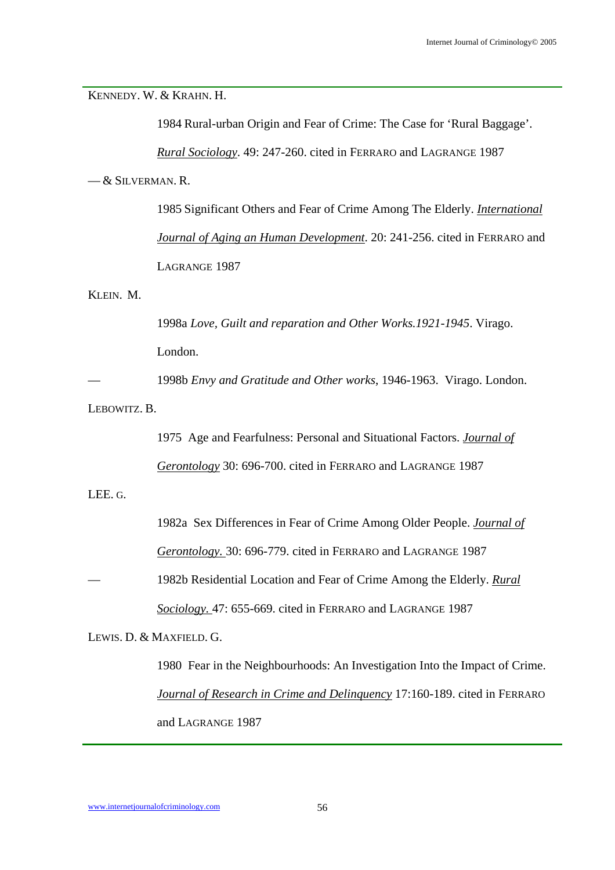KENNEDY. W. & KRAHN. H.

1984 Rural-urban Origin and Fear of Crime: The Case for 'Rural Baggage'.

*Rural Sociology*. 49: 247-260. cited in FERRARO and LAGRANGE 1987

— & SILVERMAN. R.

 1985 Significant Others and Fear of Crime Among The Elderly. *International Journal of Aging an Human Development*. 20: 241-256. cited in FERRARO and LAGRANGE 1987

KLEIN. M.

 1998a *Love, Guilt and reparation and Other Works.1921-1945*. Virago. London.

— 1998b *Envy and Gratitude and Other works*, 1946-1963. Virago. London.

LEBOWITZ. B.

 1975 Age and Fearfulness: Personal and Situational Factors. *Journal of Gerontology* 30: 696-700. cited in FERRARO and LAGRANGE 1987

LEE. G.

1982a Sex Differences in Fear of Crime Among Older People. *Journal of* 

*Gerontology.* 30: 696-779. cited in FERRARO and LAGRANGE 1987

— 1982b Residential Location and Fear of Crime Among the Elderly. *Rural* 

*Sociology.* 47: 655-669. cited in FERRARO and LAGRANGE 1987

LEWIS. D. & MAXFIELD. G.

 1980 Fear in the Neighbourhoods: An Investigation Into the Impact of Crime. *Journal of Research in Crime and Delinquency* 17:160-189. cited in FERRARO and LAGRANGE 1987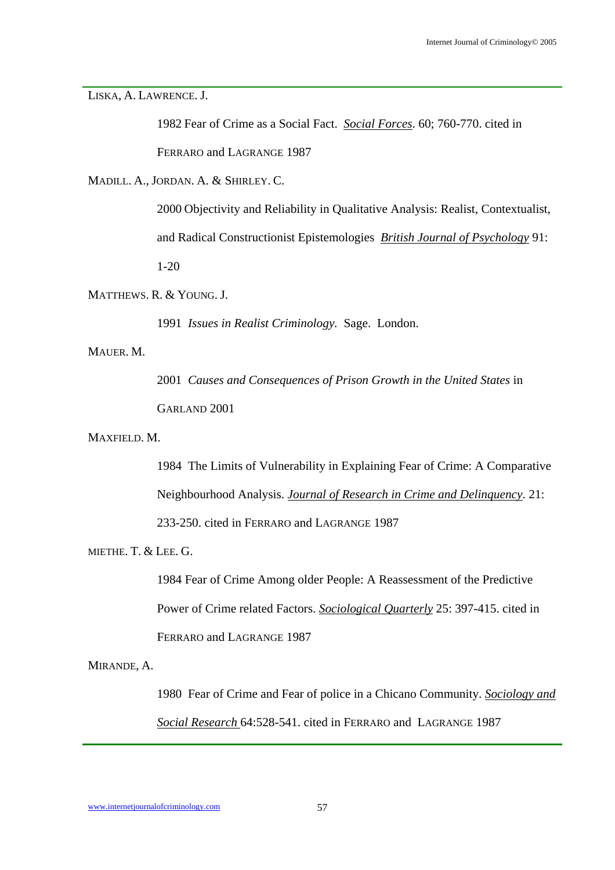LISKA, A. LAWRENCE. J.

 1982 Fear of Crime as a Social Fact. *Social Forces*. 60; 760-770. cited in FERRARO and LAGRANGE 1987

MADILL. A., JORDAN. A. & SHIRLEY. C.

 2000 Objectivity and Reliability in Qualitative Analysis: Realist, Contextualist, and Radical Constructionist Epistemologies *British Journal of Psychology* 91: 1-20

MATTHEWS. R. & YOUNG. J.

1991 *Issues in Realist Criminology.* Sage. London.

MAUER. M.

 2001 *Causes and Consequences of Prison Growth in the United States* in GARLAND 2001

MAXFIELD. M.

 1984 The Limits of Vulnerability in Explaining Fear of Crime: A Comparative Neighbourhood Analysis. *Journal of Research in Crime and Delinquency*. 21: 233-250. cited in FERRARO and LAGRANGE 1987

MIETHE. T. & LEE. G.

 1984 Fear of Crime Among older People: A Reassessment of the Predictive Power of Crime related Factors. *Sociological Quarterly* 25: 397-415. cited in FERRARO and LAGRANGE 1987

MIRANDE, A.

 1980 Fear of Crime and Fear of police in a Chicano Community. *Sociology and Social Research* 64:528-541. cited in FERRARO and LAGRANGE 1987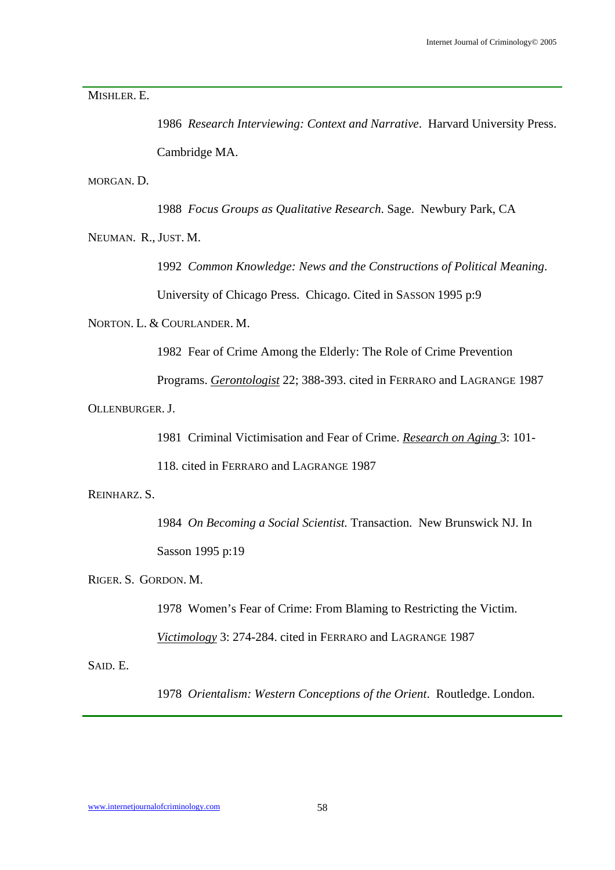MISHLER. E.

 1986 *Research Interviewing: Context and Narrative*. Harvard University Press. Cambridge MA.

MORGAN. D.

1988 *Focus Groups as Qualitative Research*. Sage. Newbury Park, CA

NEUMAN. R., JUST. M.

 1992 *Common Knowledge: News and the Constructions of Political Meaning*. University of Chicago Press. Chicago. Cited in SASSON 1995 p:9

NORTON. L. & COURLANDER. M.

1982 Fear of Crime Among the Elderly: The Role of Crime Prevention

Programs. *Gerontologist* 22; 388-393. cited in FERRARO and LAGRANGE 1987

OLLENBURGER. J.

1981 Criminal Victimisation and Fear of Crime. *Research on Aging* 3: 101-

118. cited in FERRARO and LAGRANGE 1987

REINHARZ. S.

 1984 *On Becoming a Social Scientist.* Transaction. New Brunswick NJ. In Sasson 1995 p:19

RIGER. S. GORDON. M.

1978 Women's Fear of Crime: From Blaming to Restricting the Victim.

*Victimology* 3: 274-284. cited in FERRARO and LAGRANGE 1987

SAID. E.

1978 *Orientalism: Western Conceptions of the Orient*. Routledge. London.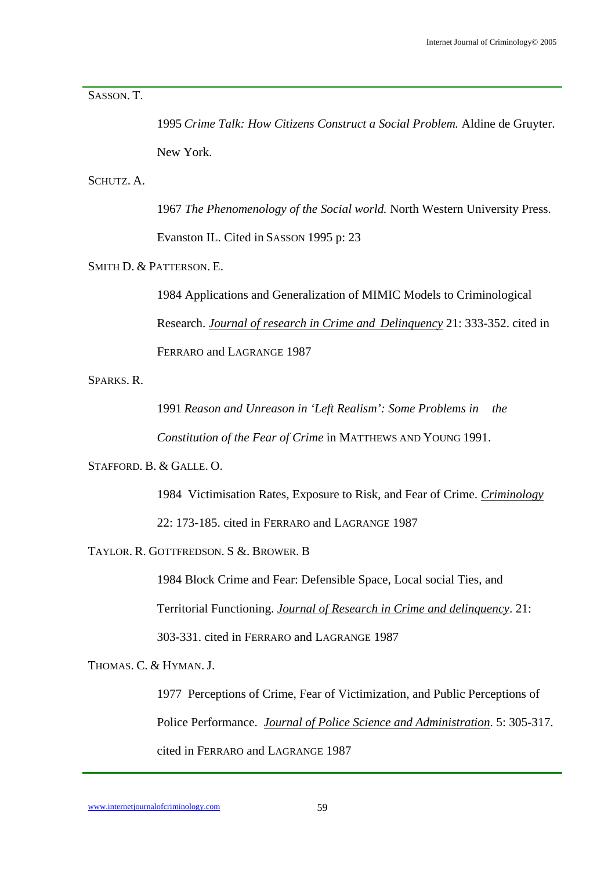SASSON. T.

 1995 *Crime Talk: How Citizens Construct a Social Problem.* Aldine de Gruyter. New York.

SCHUTZ. A.

 1967 *The Phenomenology of the Social world.* North Western University Press. Evanston IL. Cited in SASSON 1995 p: 23

SMITH D. & PATTERSON. E.

 1984 Applications and Generalization of MIMIC Models to Criminological Research. *Journal of research in Crime and Delinquency* 21: 333-352. cited in FERRARO and LAGRANGE 1987

SPARKS. R.

 1991 *Reason and Unreason in 'Left Realism': Some Problems in the Constitution of the Fear of Crime* in MATTHEWS AND YOUNG 1991.

STAFFORD. B. & GALLE. O.

1984 Victimisation Rates, Exposure to Risk, and Fear of Crime. *Criminology*

22: 173-185. cited in FERRARO and LAGRANGE 1987

TAYLOR. R. GOTTFREDSON. S &. BROWER. B

 1984 Block Crime and Fear: Defensible Space, Local social Ties, and Territorial Functioning. *Journal of Research in Crime and delinquency*. 21: 303-331. cited in FERRARO and LAGRANGE 1987

THOMAS. C. & HYMAN. J.

 1977 Perceptions of Crime, Fear of Victimization, and Public Perceptions of Police Performance. *Journal of Police Science and Administration*. 5: 305-317. cited in FERRARO and LAGRANGE 1987